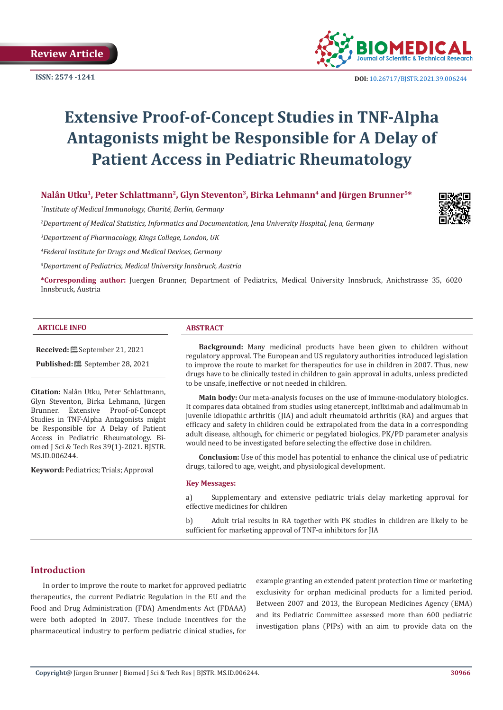**ISSN: 2574 -1241**



 **DOI:** [10.26717/BJSTR.2021.39.006244](https://dx.doi.org/10.26717/BJSTR.2021.39.006244)

# **Extensive Proof-of-Concept Studies in TNF-Alpha Antagonists might be Responsible for A Delay of Patient Access in Pediatric Rheumatology**

# Nalân Utku<sup>1</sup>, Peter Schlattmann<sup>2</sup>, Glyn Steventon<sup>3</sup>, Birka Lehmann<sup>4</sup> and Jürgen Brunner<sup>5\*</sup>

*1 Institute of Medical Immunology, Charité, Berlin, Germany*

*2 Department of Medical Statistics, Informatics and Documentation, Jena University Hospital, Jena, Germany*



*3 Department of Pharmacology, Kings College, London, UK*

*4 Federal Institute for Drugs and Medical Devices, Germany*

*5 Department of Pediatrics, Medical University Innsbruck, Austria*

**\*Corresponding author:** Juergen Brunner, Department of Pediatrics, Medical University Innsbruck, Anichstrasse 35, 6020 Innsbruck, Austria

#### **ARTICLE INFO ABSTRACT**

**Received:** September 21, 2021

**Published:** September 28, 2021

**Citation:** Nalân Utku, Peter Schlattmann, Glyn Steventon, Birka Lehmann, Jürgen Brunner. Extensive Proof-of-Concept Studies in TNF-Alpha Antagonists might be Responsible for A Delay of Patient Access in Pediatric Rheumatology. Biomed J Sci & Tech Res 39(1)-2021. BJSTR. MS.ID.006244.

**Keyword:** Pediatrics; Trials; Approval

**Background:** Many medicinal products have been given to children without regulatory approval. The European and US regulatory authorities introduced legislation to improve the route to market for therapeutics for use in children in 2007. Thus, new drugs have to be clinically tested in children to gain approval in adults, unless predicted to be unsafe, ineffective or not needed in children.

**Main body:** Our meta-analysis focuses on the use of immune-modulatory biologics. It compares data obtained from studies using etanercept, infliximab and adalimumab in juvenile idiopathic arthritis (JIA) and adult rheumatoid arthritis (RA) and argues that efficacy and safety in children could be extrapolated from the data in a corresponding adult disease, although, for chimeric or pegylated biologics, PK/PD parameter analysis would need to be investigated before selecting the effective dose in children.

**Conclusion:** Use of this model has potential to enhance the clinical use of pediatric drugs, tailored to age, weight, and physiological development.

#### **Key Messages:**

a) Supplementary and extensive pediatric trials delay marketing approval for effective medicines for children

b) Adult trial results in RA together with PK studies in children are likely to be sufficient for marketing approval of TNF- $\alpha$  inhibitors for JIA

# **Introduction**

In order to improve the route to market for approved pediatric therapeutics, the current Pediatric Regulation in the EU and the Food and Drug Administration (FDA) Amendments Act (FDAAA) were both adopted in 2007. These include incentives for the pharmaceutical industry to perform pediatric clinical studies, for example granting an extended patent protection time or marketing exclusivity for orphan medicinal products for a limited period. Between 2007 and 2013, the European Medicines Agency (EMA) and its Pediatric Committee assessed more than 600 pediatric investigation plans (PIPs) with an aim to provide data on the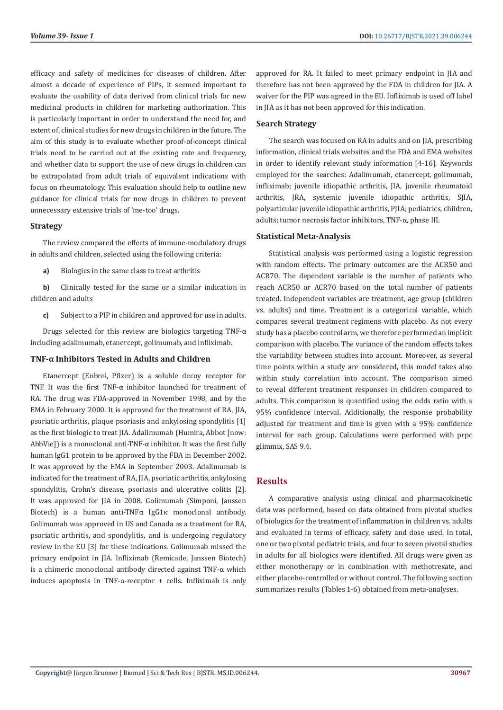efficacy and safety of medicines for diseases of children. After almost a decade of experience of PIPs, it seemed important to evaluate the usability of data derived from clinical trials for new medicinal products in children for marketing authorization. This is particularly important in order to understand the need for, and extent of, clinical studies for new drugs in children in the future. The aim of this study is to evaluate whether proof-of-concept clinical trials need to be carried out at the existing rate and frequency, and whether data to support the use of new drugs in children can be extrapolated from adult trials of equivalent indications with focus on rheumatology. This evaluation should help to outline new guidance for clinical trials for new drugs in children to prevent unnecessary extensive trials of 'me-too' drugs.

#### **Strategy**

The review compared the effects of immune-modulatory drugs in adults and children, selected using the following criteria:

**a)** Biologics in the same class to treat arthritis

**b)** Clinically tested for the same or a similar indication in children and adults

**c)** Subject to a PIP in children and approved for use in adults.

Drugs selected for this review are biologics targeting TNF-α including adalimumab, etanercept, golimumab, and infliximab.

#### **TNF-α Inhibitors Tested in Adults and Children**

Etanercept (Enbrel, Pfizer) is a soluble decoy receptor for TNF. It was the first TNF-α inhibitor launched for treatment of RA. The drug was FDA-approved in November 1998, and by the EMA in February 2000. It is approved for the treatment of RA, JIA, psoriatic arthritis, plaque psoriasis and ankylosing spondylitis [1] as the first biologic to treat JIA. Adalimumab (Humira, Abbot [now: AbbVie]) is a monoclonal anti-TNF-α inhibitor. It was the first fully human IgG1 protein to be approved by the FDA in December 2002. It was approved by the EMA in September 2003. Adalimumab is indicated for the treatment of RA, JIA, psoriatic arthritis, ankylosing spondylitis, Crohn's disease, psoriasis and ulcerative colitis [2]. It was approved for JIA in 2008. Golimumab (Simponi, Janssen Biotech) is a human anti-TNFα IgG1κ monoclonal antibody. Golimumab was approved in US and Canada as a treatment for RA, psoriatic arthritis, and spondylitis, and is undergoing regulatory review in the EU [3] for these indications. Golimumab missed the primary endpoint in JIA. Infliximab (Remicade, Janssen Biotech) is a chimeric monoclonal antibody directed against TNF-α which induces apoptosis in TNF-α-receptor + cells. Infliximab is only

approved for RA. It failed to meet primary endpoint in JIA and therefore has not been approved by the FDA in children for JIA. A waiver for the PIP was agreed in the EU. Infliximab is used off label in JIA as it has not been approved for this indication.

# **Search Strategy**

The search was focused on RA in adults and on JIA, prescribing information, clinical trials websites and the FDA and EMA websites in order to identify relevant study information [4-16]. Keywords employed for the searches: Adalimumab, etanercept, golimumab, infliximab; juvenile idiopathic arthritis, JIA, juvenile rheumatoid arthritis, JRA, systemic juvenile idiopathic arthritis, SJIA, polyarticular juvenile idiopathic arthritis, PJIA; pediatrics, children, adults; tumor necrosis factor inhibitors, TNF-α, phase III.

#### **Statistical Meta-Analysis**

Statistical analysis was performed using a logistic regression with random effects. The primary outcomes are the ACR50 and ACR70. The dependent variable is the number of patients who reach ACR50 or ACR70 based on the total number of patients treated. Independent variables are treatment, age group (children vs. adults) and time. Treatment is a categorical variable, which compares several treatment regimens with placebo. As not every study has a placebo control arm, we therefore performed an implicit comparison with placebo. The variance of the random effects takes the variability between studies into account. Moreover, as several time points within a study are considered, this model takes also within study correlation into account. The comparison aimed to reveal different treatment responses in children compared to adults. This comparison is quantified using the odds ratio with a 95% confidence interval. Additionally, the response probability adjusted for treatment and time is given with a 95% confidence interval for each group. Calculations were performed with prpc glimmix, SAS 9.4.

# **Results**

A comparative analysis using clinical and pharmacokinetic data was performed, based on data obtained from pivotal studies of biologics for the treatment of inflammation in children vs. adults and evaluated in terms of efficacy, safety and dose used. In total, one or two pivotal pediatric trials, and four to seven pivotal studies in adults for all biologics were identified. All drugs were given as either monotherapy or in combination with methotrexate, and either placebo-controlled or without control. The following section summarizes results (Tables 1-6) obtained from meta-analyses.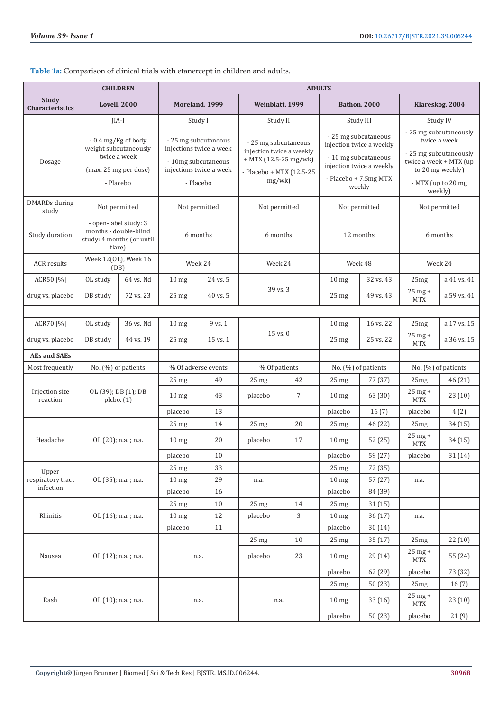| Table 1a: Comparison of clinical trials with etanercept in children and adults. |  |  |
|---------------------------------------------------------------------------------|--|--|
|                                                                                 |  |  |

|                                 |                                                                                       | <b>CHILDREN</b>                                                                                     |                                                                                                                | <b>ADULTS</b>  |                  |                                                                                                                  |                  |                                                                                                                                         |                                                                                                                                                 |                     |
|---------------------------------|---------------------------------------------------------------------------------------|-----------------------------------------------------------------------------------------------------|----------------------------------------------------------------------------------------------------------------|----------------|------------------|------------------------------------------------------------------------------------------------------------------|------------------|-----------------------------------------------------------------------------------------------------------------------------------------|-------------------------------------------------------------------------------------------------------------------------------------------------|---------------------|
| Study<br><b>Characteristics</b> |                                                                                       | Lovell, 2000                                                                                        |                                                                                                                | Moreland, 1999 |                  | Weinblatt, 1999                                                                                                  |                  | <b>Bathon, 2000</b>                                                                                                                     |                                                                                                                                                 | Klareskog, 2004     |
|                                 |                                                                                       | $IIA-I$                                                                                             |                                                                                                                | Study I        |                  | Study II                                                                                                         |                  | Study III                                                                                                                               |                                                                                                                                                 | Study IV            |
| Dosage                          |                                                                                       | $-0.4$ mg/Kg of body<br>weight subcutaneously<br>twice a week<br>(max. 25 mg per dose)<br>- Placebo | - 25 mg subcutaneous<br>injections twice a week<br>- 10mg subcutaneous<br>injections twice a week<br>- Placebo |                |                  | - 25 mg subcutaneous<br>injection twice a weekly<br>$+$ MTX (12.5-25 mg/wk)<br>- Placebo + MTX (12.5-25<br>mg/wk |                  | - 25 mg subcutaneous<br>injection twice a weekly<br>- 10 mg subcutaneous<br>injection twice a weekly<br>- Placebo + 7.5mg MTX<br>weekly | - 25 mg subcutaneously<br>twice a week<br>- 25 mg subcutaneously<br>twice a week + MTX (up<br>to 20 mg weekly)<br>- MTX (up to 20 mg<br>weekly) |                     |
| DMARDs during<br>study          |                                                                                       | Not permitted                                                                                       | Not permitted                                                                                                  |                |                  | Not permitted                                                                                                    |                  | Not permitted                                                                                                                           |                                                                                                                                                 | Not permitted       |
| Study duration                  | - open-label study: 3<br>months - double-blind<br>study: 4 months (or until<br>flare) |                                                                                                     | 6 months                                                                                                       |                |                  | 6 months                                                                                                         |                  | 12 months                                                                                                                               |                                                                                                                                                 | 6 months            |
| <b>ACR</b> results              | Week 12(OL), Week 16<br>(DB)                                                          |                                                                                                     |                                                                                                                | Week 24        |                  | Week 24                                                                                                          |                  | Week 48                                                                                                                                 |                                                                                                                                                 | Week 24             |
| ACR50 [%]                       | OL study                                                                              | 64 vs. Nd                                                                                           | 10 <sub>mg</sub>                                                                                               | 24 vs. 5       |                  |                                                                                                                  | 10 <sub>mg</sub> | 32 vs. 43                                                                                                                               | 25mg                                                                                                                                            | a 41 vs. 41         |
| drug vs. placebo                | DB study                                                                              | 72 vs. 23                                                                                           | $25 \text{ mg}$                                                                                                | 40 vs. 5       |                  | 39 vs. 3                                                                                                         | $25 \text{ mg}$  | 49 vs. 43                                                                                                                               | 25 mg +<br><b>MTX</b>                                                                                                                           | a 59 vs. 41         |
|                                 |                                                                                       |                                                                                                     |                                                                                                                |                |                  |                                                                                                                  |                  |                                                                                                                                         |                                                                                                                                                 |                     |
| ACR70 [%]                       | OL study                                                                              | 36 vs. Nd                                                                                           | 10 <sub>mg</sub>                                                                                               | 9 vs. 1        |                  |                                                                                                                  | $10 \text{ mg}$  | 16 vs. 22                                                                                                                               | 25mg                                                                                                                                            | a 17 vs. 15         |
| drug vs. placebo                | DB study                                                                              | 44 vs. 19                                                                                           | $25 \text{ mg}$                                                                                                | 15 vs. 1       | $15$ vs. $0$     |                                                                                                                  | 25 <sub>mg</sub> | 25 vs. 22                                                                                                                               | 25 mg +<br><b>MTX</b>                                                                                                                           | a 36 vs. 15         |
| <b>AEs and SAEs</b>             |                                                                                       |                                                                                                     |                                                                                                                |                |                  |                                                                                                                  |                  |                                                                                                                                         |                                                                                                                                                 |                     |
| Most frequently                 |                                                                                       | No. $(\%)$ of patients                                                                              | % Of adverse events                                                                                            |                |                  | % Of patients                                                                                                    |                  | No. (%) of patients                                                                                                                     |                                                                                                                                                 | No. (%) of patients |
|                                 |                                                                                       |                                                                                                     | 25 <sub>mg</sub>                                                                                               | 49             | 25 <sub>mg</sub> | 42                                                                                                               | $25 \text{ mg}$  | 77 (37)                                                                                                                                 | 25mg                                                                                                                                            | 46(21)              |
| Injection site<br>reaction      |                                                                                       | OL (39); DB (1); DB<br>plcbo. (1)                                                                   | 10 <sub>mg</sub>                                                                                               | 43             | placebo          | $\overline{7}$                                                                                                   | 10 <sub>mg</sub> | 63 (30)                                                                                                                                 | 25 mg +<br><b>MTX</b>                                                                                                                           | 23(10)              |
|                                 |                                                                                       |                                                                                                     | placebo                                                                                                        | 13             |                  |                                                                                                                  | placebo          | 16(7)                                                                                                                                   | placebo                                                                                                                                         | 4(2)                |
|                                 |                                                                                       |                                                                                                     | $25 \text{ mg}$                                                                                                | 14             | 25 <sub>mg</sub> | 20                                                                                                               | 25 <sub>mg</sub> | 46 (22)                                                                                                                                 | 25mg                                                                                                                                            | 34(15)              |
| Headache                        |                                                                                       | OL (20); n.a.; n.a.                                                                                 | $10 \text{ mg}$                                                                                                | 20             | placebo          | 17                                                                                                               | $10 \text{ mg}$  | 52 (25)                                                                                                                                 | 25 mg +<br><b>MTX</b>                                                                                                                           | 34 (15)             |
|                                 |                                                                                       |                                                                                                     | placebo                                                                                                        | 10             |                  |                                                                                                                  | placebo          | 59 (27)                                                                                                                                 | placebo                                                                                                                                         | 31(14)              |
| Upper                           |                                                                                       |                                                                                                     | 25 mg                                                                                                          | 33             |                  |                                                                                                                  | 25 mg            | 72 (35)                                                                                                                                 |                                                                                                                                                 |                     |
| respiratory tract               |                                                                                       | OL (35); n.a.; n.a.                                                                                 | 10 <sub>mg</sub>                                                                                               | 29             | n.a.             |                                                                                                                  | 10 <sub>mg</sub> | 57 (27)                                                                                                                                 | n.a.                                                                                                                                            |                     |
| infection                       |                                                                                       |                                                                                                     | placebo                                                                                                        | 16             |                  |                                                                                                                  | placebo          | 84 (39)                                                                                                                                 |                                                                                                                                                 |                     |
|                                 |                                                                                       |                                                                                                     | 25 <sub>mg</sub>                                                                                               | 10             | 25 <sub>mg</sub> | 14                                                                                                               | $25 \text{ mg}$  | 31(15)                                                                                                                                  |                                                                                                                                                 |                     |
| Rhinitis                        |                                                                                       | OL (16); n.a.; n.a.                                                                                 | 10 <sub>mg</sub>                                                                                               | 12             | placebo          | 3                                                                                                                | 10 <sub>mg</sub> | 36(17)                                                                                                                                  | n.a.                                                                                                                                            |                     |
|                                 |                                                                                       |                                                                                                     | placebo                                                                                                        | $11\,$         |                  |                                                                                                                  | placebo          | 30 (14)                                                                                                                                 |                                                                                                                                                 |                     |
|                                 |                                                                                       |                                                                                                     |                                                                                                                |                | 25 <sub>mg</sub> | 10                                                                                                               | 25 <sub>mg</sub> | 35(17)                                                                                                                                  | 25mg                                                                                                                                            | 22(10)              |
| Nausea                          |                                                                                       | OL (12); n.a.; n.a.                                                                                 |                                                                                                                | n.a.           | placebo          | 23                                                                                                               | 10 <sub>mg</sub> | 29(14)                                                                                                                                  | $25$ mg +<br><b>MTX</b>                                                                                                                         | 55 (24)             |
|                                 |                                                                                       |                                                                                                     |                                                                                                                |                |                  |                                                                                                                  | placebo          | 62 (29)                                                                                                                                 | placebo                                                                                                                                         | 73 (32)             |
|                                 |                                                                                       |                                                                                                     |                                                                                                                |                |                  |                                                                                                                  | 25 <sub>mg</sub> | 50 (23)                                                                                                                                 | 25mg                                                                                                                                            | 16(7)               |
| Rash                            |                                                                                       | OL (10); n.a.; n.a.                                                                                 |                                                                                                                | n.a.           |                  | n.a.                                                                                                             | 10 <sub>mg</sub> | 33 (16)                                                                                                                                 | $25$ mg +<br><b>MTX</b>                                                                                                                         | 23(10)              |
|                                 |                                                                                       |                                                                                                     |                                                                                                                |                |                  |                                                                                                                  |                  | 50(23)                                                                                                                                  | placebo                                                                                                                                         | 21(9)               |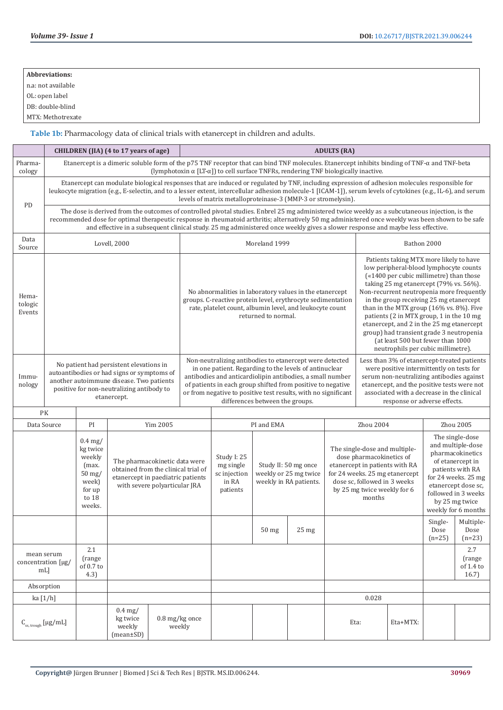| <b>Abbreviations:</b> |
|-----------------------|
| n.a: not available    |

OL: open label

DB: double-blind

MTX: Methotrexate

**Table 1b:** Pharmacology data of clinical trials with etanercept in children and adults.

|                            |                                                                                                                                                                                               |                                                                                            | CHILDREN (JIA) (4 to 17 years of age)                                                                     |                               | <b>ADULTS (RA)</b>                                                                                                                                                                                                                                                                                                                                 |                                                                                                                                                                                                                                                                                                                                                                                                                                                                                                                                                                                                                                                        |                  |                                                                         |          |                                                                                                                                    |                                                                                                                                                                                                                                                                    |                  |                                                                                                                                                                                                                |  |  |
|----------------------------|-----------------------------------------------------------------------------------------------------------------------------------------------------------------------------------------------|--------------------------------------------------------------------------------------------|-----------------------------------------------------------------------------------------------------------|-------------------------------|----------------------------------------------------------------------------------------------------------------------------------------------------------------------------------------------------------------------------------------------------------------------------------------------------------------------------------------------------|--------------------------------------------------------------------------------------------------------------------------------------------------------------------------------------------------------------------------------------------------------------------------------------------------------------------------------------------------------------------------------------------------------------------------------------------------------------------------------------------------------------------------------------------------------------------------------------------------------------------------------------------------------|------------------|-------------------------------------------------------------------------|----------|------------------------------------------------------------------------------------------------------------------------------------|--------------------------------------------------------------------------------------------------------------------------------------------------------------------------------------------------------------------------------------------------------------------|------------------|----------------------------------------------------------------------------------------------------------------------------------------------------------------------------------------------------------------|--|--|
| Pharma-<br>cology          |                                                                                                                                                                                               |                                                                                            |                                                                                                           |                               |                                                                                                                                                                                                                                                                                                                                                    | Etanercept is a dimeric soluble form of the p75 TNF receptor that can bind TNF molecules. Etanercept inhibits binding of TNF-α and TNF-beta<br>(lymphotoxin $\alpha$ [LT- $\alpha$ ]) to cell surface TNFRs, rendering TNF biologically inactive.                                                                                                                                                                                                                                                                                                                                                                                                      |                  |                                                                         |          |                                                                                                                                    |                                                                                                                                                                                                                                                                    |                  |                                                                                                                                                                                                                |  |  |
|                            |                                                                                                                                                                                               |                                                                                            |                                                                                                           |                               |                                                                                                                                                                                                                                                                                                                                                    | Etanercept can modulate biological responses that are induced or regulated by TNF, including expression of adhesion molecules responsible for<br>leukocyte migration (e.g., E-selectin, and to a lesser extent, intercellular adhesion molecule-1 [ICAM-1]), serum levels of cytokines (e.g., IL-6), and serum<br>levels of matrix metalloproteinase-3 (MMP-3 or stromelysin).                                                                                                                                                                                                                                                                         |                  |                                                                         |          |                                                                                                                                    |                                                                                                                                                                                                                                                                    |                  |                                                                                                                                                                                                                |  |  |
| PD                         |                                                                                                                                                                                               |                                                                                            |                                                                                                           |                               |                                                                                                                                                                                                                                                                                                                                                    | The dose is derived from the outcomes of controlled pivotal studies. Enbrel 25 mg administered twice weekly as a subcutaneous injection, is the<br>recommended dose for optimal therapeutic response in rheumatoid arthritis; alternatively 50 mg administered once weekly was been shown to be safe<br>and effective in a subsequent clinical study. 25 mg administered once weekly gives a slower response and maybe less effective.                                                                                                                                                                                                                 |                  |                                                                         |          |                                                                                                                                    |                                                                                                                                                                                                                                                                    |                  |                                                                                                                                                                                                                |  |  |
| Data<br>Source             |                                                                                                                                                                                               |                                                                                            | Lovell, 2000                                                                                              |                               | Moreland 1999                                                                                                                                                                                                                                                                                                                                      |                                                                                                                                                                                                                                                                                                                                                                                                                                                                                                                                                                                                                                                        |                  |                                                                         |          |                                                                                                                                    | Bathon 2000                                                                                                                                                                                                                                                        |                  |                                                                                                                                                                                                                |  |  |
| Hema-<br>tologic<br>Events |                                                                                                                                                                                               |                                                                                            |                                                                                                           |                               |                                                                                                                                                                                                                                                                                                                                                    | low peripheral-blood lymphocyte counts<br>(«1400 per cubic millimetre) than those<br>taking 25 mg etanercept (79% vs. 56%).<br>Non-recurrent neutropenia more frequently<br>No abnormalities in laboratory values in the etanercept<br>groups. C-reactive protein level, erythrocyte sedimentation<br>in the group receiving 25 mg etanercept<br>than in the MTX group (16% vs. 8%). Five<br>rate, platelet count, albumin level, and leukocyte count<br>patients (2 in MTX group, 1 in the 10 mg<br>returned to normal.<br>etanercept, and 2 in the 25 mg etanercept<br>group) had transient grade 3 neutropenia<br>(at least 500 but fewer than 1000 |                  |                                                                         |          |                                                                                                                                    |                                                                                                                                                                                                                                                                    |                  | Patients taking MTX more likely to have<br>neutrophils per cubic millimetre).                                                                                                                                  |  |  |
| Immu-<br>nology            | No patient had persistent elevations in<br>autoantibodies or had signs or symptoms of<br>another autoimmune disease. Two patients<br>positive for non-neutralizing antibody to<br>etanercept. |                                                                                            |                                                                                                           |                               | Non-neutralizing antibodies to etanercept were detected<br>in one patient. Regarding to the levels of antinuclear<br>antibodies and anticardiolipin antibodies, a small number<br>of patients in each group shifted from positive to negative<br>or from negative to positive test results, with no significant<br>differences between the groups. |                                                                                                                                                                                                                                                                                                                                                                                                                                                                                                                                                                                                                                                        |                  |                                                                         |          |                                                                                                                                    | Less than 3% of etanercept-treated patients<br>were positive intermittently on tests for<br>serum non-neutralizing antibodies against<br>etanercept, and the positive tests were not<br>associated with a decrease in the clinical<br>response or adverse effects. |                  |                                                                                                                                                                                                                |  |  |
|                            | PK<br>Data Source                                                                                                                                                                             | PI                                                                                         |                                                                                                           | Yim 2005                      | PI and EMA                                                                                                                                                                                                                                                                                                                                         |                                                                                                                                                                                                                                                                                                                                                                                                                                                                                                                                                                                                                                                        |                  |                                                                         |          | Zhou 2004                                                                                                                          |                                                                                                                                                                                                                                                                    |                  | Zhou 2005                                                                                                                                                                                                      |  |  |
|                            |                                                                                                                                                                                               | $0.4$ mg/<br>kg twice<br>weekly<br>(max.<br>$50$ mg/<br>week)<br>for up<br>to 18<br>weeks. | The pharmacokinetic data were<br>obtained from the clinical trial of<br>etanercept in paediatric patients | with severe polyarticular JRA |                                                                                                                                                                                                                                                                                                                                                    | Study I: 25<br>mg single<br>sc injection<br>in RA<br>patients                                                                                                                                                                                                                                                                                                                                                                                                                                                                                                                                                                                          |                  | Study II: 50 mg once<br>weekly or 25 mg twice<br>weekly in RA patients. |          | The single-dose and multiple-<br>dose pharmacokinetics of<br>dose sc, followed in 3 weeks<br>by 25 mg twice weekly for 6<br>months | etanercept in patients with RA<br>for 24 weeks. 25 mg etanercept                                                                                                                                                                                                   |                  | The single-dose<br>and multiple-dose<br>pharmacokinetics<br>of etanercept in<br>patients with RA<br>for 24 weeks. 25 mg<br>etanercept dose sc.<br>followed in 3 weeks<br>by 25 mg twice<br>weekly for 6 months |  |  |
|                            |                                                                                                                                                                                               |                                                                                            |                                                                                                           |                               |                                                                                                                                                                                                                                                                                                                                                    |                                                                                                                                                                                                                                                                                                                                                                                                                                                                                                                                                                                                                                                        | 50 <sub>mg</sub> | 25 <sub>mg</sub>                                                        |          |                                                                                                                                    |                                                                                                                                                                                                                                                                    | Dose<br>$(n=25)$ | Single- Multiple-<br>Dose<br>$(n=23)$                                                                                                                                                                          |  |  |
|                            | mean serum<br>concentration [µg/<br>$mL$ ]                                                                                                                                                    | 2.1<br>(range<br>of 0.7 to<br>4.3)                                                         |                                                                                                           |                               |                                                                                                                                                                                                                                                                                                                                                    |                                                                                                                                                                                                                                                                                                                                                                                                                                                                                                                                                                                                                                                        |                  |                                                                         |          | 2.7<br>(range<br>of 1.4 to<br>16.7)                                                                                                |                                                                                                                                                                                                                                                                    |                  |                                                                                                                                                                                                                |  |  |
|                            | Absorption<br>ka [1/h]                                                                                                                                                                        |                                                                                            |                                                                                                           |                               |                                                                                                                                                                                                                                                                                                                                                    |                                                                                                                                                                                                                                                                                                                                                                                                                                                                                                                                                                                                                                                        |                  |                                                                         |          |                                                                                                                                    |                                                                                                                                                                                                                                                                    |                  |                                                                                                                                                                                                                |  |  |
|                            | $C_{\rm ss, \, trough}$ [µg/mL]                                                                                                                                                               |                                                                                            | $0.4$ mg/<br>kg twice<br>weekly<br>$(mean \pm SD)$                                                        | 0.8 mg/kg once<br>weekly      | 0.028<br>Eta:                                                                                                                                                                                                                                                                                                                                      |                                                                                                                                                                                                                                                                                                                                                                                                                                                                                                                                                                                                                                                        |                  |                                                                         | Eta+MTX: |                                                                                                                                    |                                                                                                                                                                                                                                                                    |                  |                                                                                                                                                                                                                |  |  |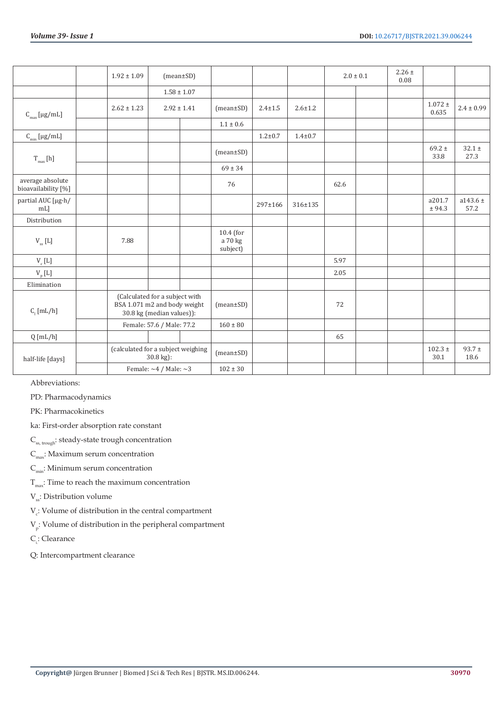|                                                               | $1.92 \pm 1.09$ | $(mean \pm SD)$                                                                             |                                    |               |               |      | $2.0 \pm 0.1$ | $2.26 \pm$<br>0.08 |                      |                      |
|---------------------------------------------------------------|-----------------|---------------------------------------------------------------------------------------------|------------------------------------|---------------|---------------|------|---------------|--------------------|----------------------|----------------------|
|                                                               |                 | $1.58 \pm 1.07$                                                                             |                                    |               |               |      |               |                    |                      |                      |
| $\textsf{C}_{\max}$ [µg/mL]                                   | $2.62 \pm 1.23$ | $2.92 \pm 1.41$                                                                             | $(mean \pm SD)$                    | $2.4 \pm 1.5$ | $2.6 \pm 1.2$ |      |               |                    | $1.072 \pm$<br>0.635 | $2.4 \pm 0.99$       |
|                                                               |                 |                                                                                             | $1.1\pm0.6$                        |               |               |      |               |                    |                      |                      |
| $\textsf{C}_{\min} \left[ \mu \textsf{g}/\textsf{mL} \right]$ |                 |                                                                                             |                                    | $1.2 + 0.7$   | $1.4 + 0.7$   |      |               |                    |                      |                      |
| $\rm T_{max}$ [h]                                             |                 |                                                                                             | $(mean \pm SD)$                    |               |               |      |               |                    | 69.2 $\pm$<br>33.8   | $32.1 \pm$<br>27.3   |
|                                                               |                 |                                                                                             | $69 \pm 34$                        |               |               |      |               |                    |                      |                      |
| average absolute<br>bioavailability [%]                       |                 |                                                                                             | 76                                 |               |               | 62.6 |               |                    |                      |                      |
| partial AUC [µg·h/<br>$mL$ ]                                  |                 |                                                                                             |                                    | 297±166       | 316±135       |      |               |                    | a201.7<br>± 94.3     | $a143.6 \pm$<br>57.2 |
| Distribution                                                  |                 |                                                                                             |                                    |               |               |      |               |                    |                      |                      |
| $\rm V_{ss}$ [L]                                              | 7.88            |                                                                                             | $10.4$ (for<br>a 70 kg<br>subject) |               |               |      |               |                    |                      |                      |
| $V_c$ [L]                                                     |                 |                                                                                             |                                    |               |               | 5.97 |               |                    |                      |                      |
| $V_{p}$ [L]                                                   |                 |                                                                                             |                                    |               |               | 2.05 |               |                    |                      |                      |
| Elimination                                                   |                 |                                                                                             |                                    |               |               |      |               |                    |                      |                      |
| $C_{1}$ [mL/h]                                                |                 | (Calculated for a subject with<br>BSA 1.071 m2 and body weight<br>30.8 kg (median values)): | $(mean \pm SD)$                    |               |               | 72   |               |                    |                      |                      |
|                                                               |                 | Female: 57.6 / Male: 77.2                                                                   | $160 \pm 80$                       |               |               |      |               |                    |                      |                      |
| $Q$ [mL/h]                                                    |                 |                                                                                             |                                    |               |               | 65   |               |                    |                      |                      |
| half-life [days]                                              |                 | (calculated for a subject weighing<br>$30.8$ kg):                                           | $(mean \pm SD)$                    |               |               |      |               |                    | $102.3 \pm$<br>30.1  | $93.7 \pm$<br>18.6   |
|                                                               |                 | Female: $\sim$ 4 / Male: $\sim$ 3                                                           | $102 \pm 30$                       |               |               |      |               |                    |                      |                      |

Abbreviations:

PD: Pharmacodynamics

PK: Pharmacokinetics

ka: First-order absorption rate constant

 $\mathsf{C}_{\mathrm{ss,\,trough}}$  : steady-state trough concentration

 $C_{\text{max}}$ : Maximum serum concentration

 $C_{\text{min}}$ : Minimum serum concentration

 $T_{\text{max}}$ : Time to reach the maximum concentration

V<sub>ss</sub>: Distribution volume

 $V_c$ : Volume of distribution in the central compartment

 $\mathrm{V}_\mathrm{p}$ : Volume of distribution in the peripheral compartment

 $C_{i}$ : Clearance

Q: Intercompartment clearance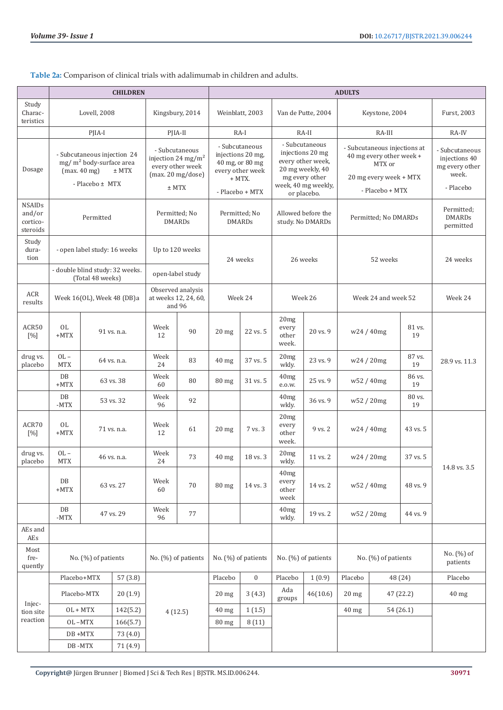**Table 2a:** Comparison of clinical trials with adalimumab in children and adults.

|                                                 | <b>CHILDREN</b>                                                                                                  |                                                     |             |                                                                                                      |                   | <b>ADULTS</b>                                                                                           |                     |                                                                                                                                     |                     |                                                                                                                 |                                    |                                          |                                                                         |
|-------------------------------------------------|------------------------------------------------------------------------------------------------------------------|-----------------------------------------------------|-------------|------------------------------------------------------------------------------------------------------|-------------------|---------------------------------------------------------------------------------------------------------|---------------------|-------------------------------------------------------------------------------------------------------------------------------------|---------------------|-----------------------------------------------------------------------------------------------------------------|------------------------------------|------------------------------------------|-------------------------------------------------------------------------|
| Study<br>Charac-<br>teristics                   |                                                                                                                  | Lovell, 2008                                        |             |                                                                                                      | Kingsbury, 2014   |                                                                                                         | Weinblatt, 2003     |                                                                                                                                     | Van de Putte, 2004  |                                                                                                                 | Keystone, 2004                     |                                          | Furst, 2003                                                             |
|                                                 |                                                                                                                  | PJIA-I                                              |             | PJIA-II                                                                                              |                   |                                                                                                         | $RA-I$              |                                                                                                                                     | RA-II               | RA-III                                                                                                          |                                    |                                          | RA-IV                                                                   |
| Dosage                                          | - Subcutaneous injection 24<br>mg/m <sup>2</sup> body-surface area<br>(max. 40 mg)<br>$±$ MTX<br>- Placebo ± MTX |                                                     |             | - Subcutaneous<br>injection 24 mg/m <sup>2</sup><br>every other week<br>(max. 20 mg/dose)<br>$±$ MTX |                   | - Subcutaneous<br>injections 20 mg,<br>40 mg, or 80 mg<br>every other week<br>+ MTX.<br>- Placebo + MTX |                     | - Subcutaneous<br>injections 20 mg<br>every other week,<br>20 mg weekly, 40<br>mg every other<br>week, 40 mg weekly,<br>or placebo. |                     | - Subcutaneous injections at<br>40 mg every other week +<br>MTX or<br>20 mg every week + MTX<br>- Placebo + MTX |                                    |                                          | - Subcutaneous<br>injections 40<br>mg every other<br>week.<br>- Placebo |
| <b>NSAIDs</b><br>and/or<br>cortico-<br>steroids | Permitted                                                                                                        |                                                     |             | Permitted; No<br><b>DMARDs</b>                                                                       |                   | Permitted; No<br><b>DMARDs</b>                                                                          |                     | Allowed before the<br>study. No DMARDs                                                                                              |                     | Permitted; No DMARDs                                                                                            |                                    | Permitted;<br><b>DMARDs</b><br>permitted |                                                                         |
| Study<br>dura-<br>tion                          |                                                                                                                  | - open label study: 16 weeks                        |             | Up to 120 weeks                                                                                      |                   |                                                                                                         | 24 weeks            |                                                                                                                                     | 26 weeks            | 52 weeks                                                                                                        |                                    |                                          | 24 weeks                                                                |
|                                                 |                                                                                                                  | - double blind study: 32 weeks.<br>(Total 48 weeks) |             | open-label study                                                                                     |                   |                                                                                                         |                     |                                                                                                                                     |                     |                                                                                                                 |                                    |                                          |                                                                         |
| ACR<br>results                                  |                                                                                                                  | Week 16(OL), Week 48 (DB)a                          |             | at weeks 12, 24, 60,<br>and 96                                                                       | Observed analysis |                                                                                                         | Week 24             |                                                                                                                                     | Week 26             |                                                                                                                 | Week 24 and week 52                |                                          | Week 24                                                                 |
| ACR50<br>[%]                                    | <b>OL</b><br>$+MTX$                                                                                              |                                                     | 91 vs. n.a. | Week<br>12                                                                                           | 90                | $20$ mg                                                                                                 | 22 vs. 5            | 20mg<br>every<br>other<br>week.                                                                                                     | 20 vs. 9            |                                                                                                                 | w24/40mg                           | 81 vs.<br>19                             |                                                                         |
| drug vs.<br>placebo                             | $OL -$<br><b>MTX</b>                                                                                             |                                                     | 64 vs. n.a. | Week<br>24                                                                                           | 83                | 40 mg                                                                                                   | 37 vs. 5            | 20mg<br>wkly.                                                                                                                       | 23 vs. 9            |                                                                                                                 | w24 / 20mg                         | 87 vs.<br>19                             | 28.9 vs. 11.3                                                           |
|                                                 | DB<br>$+MTX$                                                                                                     |                                                     | 63 vs. 38   | Week<br>60                                                                                           | 80                | $80 \text{ mg}$                                                                                         | 31 vs. 5            | 40mg<br>e.o.w.                                                                                                                      | 25 vs. 9            |                                                                                                                 | w <sub>52</sub> / 40 <sub>mg</sub> | 86 vs.<br>19                             |                                                                         |
|                                                 | DB<br>$-MTX$                                                                                                     |                                                     | 53 vs. 32   | Week<br>96                                                                                           | 92                |                                                                                                         |                     | 40mg<br>wkly.                                                                                                                       | 36 vs. 9            |                                                                                                                 | w52 / 20mg                         | 80 vs.<br>19                             |                                                                         |
| ACR70<br>[%]                                    | OL<br>$+MTX$                                                                                                     |                                                     | 71 vs. n.a. | Week<br>12                                                                                           | 61                | $20$ mg                                                                                                 | 7 vs. 3             | 20mg<br>every<br>other<br>week.                                                                                                     | 9 vs. 2             | w24/40mg                                                                                                        |                                    | 43 vs. 5                                 |                                                                         |
| drug vs.<br>placebo                             | $OL -$<br><b>MTX</b>                                                                                             |                                                     | 46 vs. n.a. | Week<br>24                                                                                           | 73                | $40$ mg                                                                                                 | 18 vs. 3            | 20mg<br>wkly.                                                                                                                       | 11 vs. 2            | w24/20mg                                                                                                        |                                    | 37 vs. 5                                 | 14.8 vs. 3.5                                                            |
|                                                 | $\rm DB$<br>$+{\rm MTX}$                                                                                         |                                                     | 63 vs. 27   | Week<br>60                                                                                           | 70                | <b>80 mg</b>                                                                                            | 14 vs. 3            | 40mg<br>every<br>other<br>week                                                                                                      | 14 vs. 2            |                                                                                                                 | w52 / 40mg                         | 48 vs. 9                                 |                                                                         |
|                                                 | $\rm DB$<br>$\mathord{\text{-}\mathrm{MTX}}$                                                                     |                                                     | 47 vs. 29   | Week<br>96                                                                                           | 77                |                                                                                                         |                     | $40mg$<br>wkly.                                                                                                                     | 19 vs. 2            |                                                                                                                 | w52 / 20mg                         | 44 vs. 9                                 |                                                                         |
| AEs and<br>AEs                                  |                                                                                                                  |                                                     |             |                                                                                                      |                   |                                                                                                         |                     |                                                                                                                                     |                     |                                                                                                                 |                                    |                                          |                                                                         |
| Most<br>fre-<br>quently                         |                                                                                                                  | No. (%) of patients                                 |             | No. (%) of patients                                                                                  |                   |                                                                                                         | No. (%) of patients |                                                                                                                                     | No. (%) of patients |                                                                                                                 | No. (%) of patients                |                                          | No. (%) of<br>patients                                                  |
|                                                 |                                                                                                                  | Placebo+MTX                                         | 57 (3.8)    |                                                                                                      |                   | Placebo                                                                                                 | $\boldsymbol{0}$    | Placebo                                                                                                                             | 1(0.9)              | Placebo                                                                                                         |                                    | 48 (24)                                  | Placebo                                                                 |
| Injec-                                          |                                                                                                                  | Placebo-MTX                                         | 20(1.9)     |                                                                                                      |                   | $20$ mg                                                                                                 | 3(4.3)              | Ada<br>groups                                                                                                                       | 46(10.6)            | $20$ mg                                                                                                         |                                    | 47 (22.2)                                | 40 mg                                                                   |
| tion site                                       |                                                                                                                  | $OL + MTX$                                          | 142(5.2)    | 4(12.5)                                                                                              |                   | $40$ mg                                                                                                 | 1(1.5)              |                                                                                                                                     |                     | 40 mg                                                                                                           |                                    | 54 (26.1)                                |                                                                         |
| reaction                                        |                                                                                                                  | OL-MTX                                              | 166(5.7)    |                                                                                                      |                   | 80 mg                                                                                                   | 8(11)               |                                                                                                                                     |                     |                                                                                                                 |                                    |                                          |                                                                         |
|                                                 |                                                                                                                  | $\texttt{DB} + \texttt{MTX}$                        | 73 (4.0)    |                                                                                                      |                   |                                                                                                         |                     |                                                                                                                                     |                     |                                                                                                                 |                                    |                                          |                                                                         |
|                                                 |                                                                                                                  | DB-MTX                                              | 71 (4.9)    |                                                                                                      |                   |                                                                                                         |                     |                                                                                                                                     |                     |                                                                                                                 |                                    |                                          |                                                                         |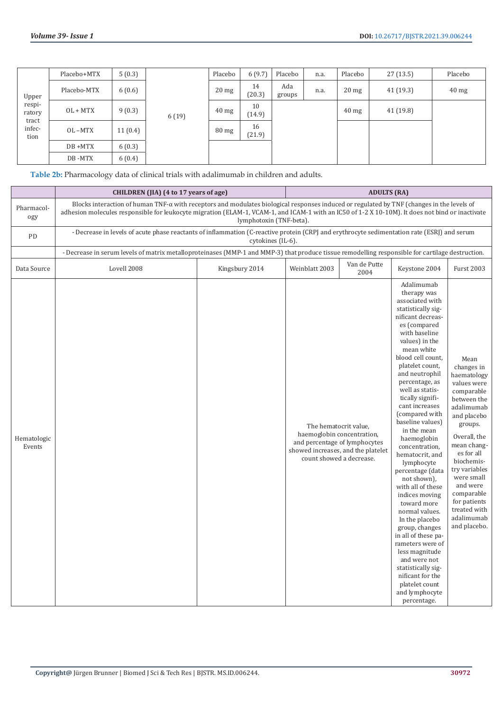| Upper                   | Placebo+MTX | 5(0.3)  |       | Placebo         | 6(9.7)       | Placebo       | n.a. | Placebo         | 27(13.5) | Placebo         |
|-------------------------|-------------|---------|-------|-----------------|--------------|---------------|------|-----------------|----------|-----------------|
|                         | Placebo-MTX | 6(0.6)  |       | $20 \text{ mg}$ | 14<br>(20.3) | Ada<br>groups | n.a. | $20$ mg         | 41(19.3) | $40 \text{ mg}$ |
| respi-<br>ratory        | $OL + MTX$  | 9(0.3)  | 6(19) | $40$ mg         | 10<br>(14.9) |               |      | $40 \text{ mg}$ | 41(19.8) |                 |
| tract<br>infec-<br>tion | OL-MTX      | 11(0.4) |       | $80 \text{ mg}$ | 16<br>(21.9) |               |      |                 |          |                 |
|                         | DB +MTX     | 6(0.3)  |       |                 |              |               |      |                 |          |                 |
|                         | DB-MTX      | 6(0.4)  |       |                 |              |               |      |                 |          |                 |

**Table 2b:** Pharmacology data of clinical trials with adalimumab in children and adults.

|                       | CHILDREN (JIA) (4 to 17 years of age)                                                                                                                                                                                                                                                                 |                         | <b>ADULTS (RA)</b> |                                                                                                                                                        |                                                                                                                                                                                                                                                                                                                                                                                                                                                                                                                                                                                                                                                                                                                                               |                                                                                                                                                                                                                                                                                                         |  |  |
|-----------------------|-------------------------------------------------------------------------------------------------------------------------------------------------------------------------------------------------------------------------------------------------------------------------------------------------------|-------------------------|--------------------|--------------------------------------------------------------------------------------------------------------------------------------------------------|-----------------------------------------------------------------------------------------------------------------------------------------------------------------------------------------------------------------------------------------------------------------------------------------------------------------------------------------------------------------------------------------------------------------------------------------------------------------------------------------------------------------------------------------------------------------------------------------------------------------------------------------------------------------------------------------------------------------------------------------------|---------------------------------------------------------------------------------------------------------------------------------------------------------------------------------------------------------------------------------------------------------------------------------------------------------|--|--|
| Pharmacol-<br>ogy     | Blocks interaction of human TNF- $\alpha$ with receptors and modulates biological responses induced or regulated by TNF (changes in the levels of<br>adhesion molecules responsible for leukocyte migration (ELAM-1, VCAM-1, and ICAM-1 with an IC50 of 1-2 X 10-10M). It does not bind or inactivate | lymphotoxin (TNF-beta). |                    |                                                                                                                                                        |                                                                                                                                                                                                                                                                                                                                                                                                                                                                                                                                                                                                                                                                                                                                               |                                                                                                                                                                                                                                                                                                         |  |  |
| PD                    | - Decrease in levels of acute phase reactants of inflammation (C-reactive protein (CRPJ and erythrocyte sedimentation rate (ESRJ) and serum                                                                                                                                                           | cytokines (IL-6).       |                    |                                                                                                                                                        |                                                                                                                                                                                                                                                                                                                                                                                                                                                                                                                                                                                                                                                                                                                                               |                                                                                                                                                                                                                                                                                                         |  |  |
|                       | - Decrease in serum levels of matrix metalloproteinases (MMP-1 and MMP-3) that produce tissue remodelling responsible for cartilage destruction.                                                                                                                                                      |                         |                    |                                                                                                                                                        |                                                                                                                                                                                                                                                                                                                                                                                                                                                                                                                                                                                                                                                                                                                                               |                                                                                                                                                                                                                                                                                                         |  |  |
| Data Source           | Lovell 2008                                                                                                                                                                                                                                                                                           | Kingsbury 2014          | Weinblatt 2003     | Van de Putte<br>2004                                                                                                                                   | Keystone 2004                                                                                                                                                                                                                                                                                                                                                                                                                                                                                                                                                                                                                                                                                                                                 | <b>Furst 2003</b>                                                                                                                                                                                                                                                                                       |  |  |
| Hematologic<br>Events |                                                                                                                                                                                                                                                                                                       |                         |                    | The hematocrit value,<br>haemoglobin concentration,<br>and percentage of lymphocytes<br>showed increases, and the platelet<br>count showed a decrease. | Adalimumab<br>therapy was<br>associated with<br>statistically sig-<br>nificant decreas-<br>es (compared<br>with baseline<br>values) in the<br>mean white<br>blood cell count,<br>platelet count,<br>and neutrophil<br>percentage, as<br>well as statis-<br>tically signifi-<br>cant increases<br>(compared with<br>baseline values)<br>in the mean<br>haemoglobin<br>concentration,<br>hematocrit, and<br>lymphocyte<br>percentage (data<br>not shown),<br>with all of these<br>indices moving<br>toward more<br>normal values.<br>In the placebo<br>group, changes<br>in all of these pa-<br>rameters were of<br>less magnitude<br>and were not<br>statistically sig-<br>nificant for the<br>platelet count<br>and lymphocyte<br>percentage. | Mean<br>changes in<br>haematology<br>values were<br>comparable<br>between the<br>adalimumab<br>and placebo<br>groups.<br>Overall, the<br>mean chang-<br>es for all<br>biochemis-<br>try variables<br>were small<br>and were<br>comparable<br>for patients<br>treated with<br>adalimumab<br>and placebo. |  |  |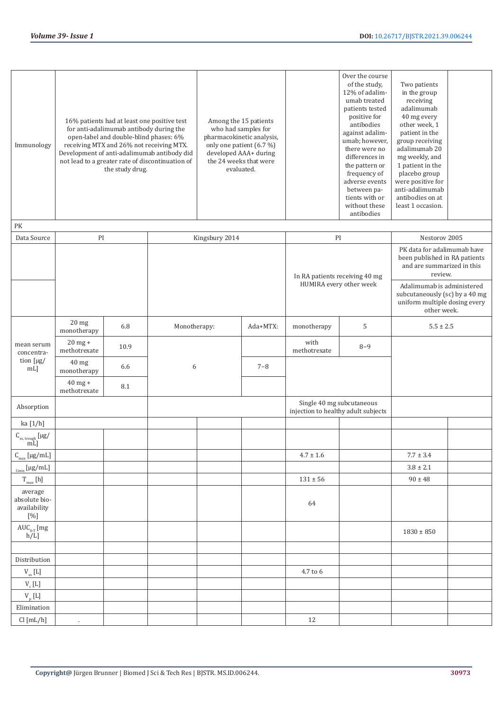| Immunology                                        | 16% patients had at least one positive test<br>for anti-adalimumab antibody during the<br>open-label and double-blind phases: 6%<br>receiving MTX and 26% not receiving MTX.<br>Development of anti-adalimumab antibody did<br>not lead to a greater rate of discontinuation of<br>the study drug. |      |              |                | Among the 15 patients<br>who had samples for<br>pharmacokinetic analysis,<br>only one patient (6.7 %)<br>developed AAA+ during<br>the 24 weeks that were<br>evaluated. |                                                                  | Over the course<br>of the study,<br>12% of adalim-<br>umab treated<br>patients tested<br>positive for<br>antibodies<br>against adalim-<br>umab; however,<br>there were no<br>differences in<br>the pattern or<br>frequency of<br>adverse events<br>between pa-<br>tients with or<br>without these<br>antibodies | Two patients<br>in the group<br>receiving<br>adalimumab<br>40 mg every<br>other week, 1<br>patient in the<br>group receiving<br>adalimumab 20<br>mg weekly, and<br>1 patient in the<br>placebo group<br>were positive for<br>anti-adalimumab<br>antibodies on at<br>least 1 occasion. |  |  |
|---------------------------------------------------|----------------------------------------------------------------------------------------------------------------------------------------------------------------------------------------------------------------------------------------------------------------------------------------------------|------|--------------|----------------|------------------------------------------------------------------------------------------------------------------------------------------------------------------------|------------------------------------------------------------------|-----------------------------------------------------------------------------------------------------------------------------------------------------------------------------------------------------------------------------------------------------------------------------------------------------------------|---------------------------------------------------------------------------------------------------------------------------------------------------------------------------------------------------------------------------------------------------------------------------------------|--|--|
| PK                                                |                                                                                                                                                                                                                                                                                                    |      |              |                |                                                                                                                                                                        |                                                                  |                                                                                                                                                                                                                                                                                                                 |                                                                                                                                                                                                                                                                                       |  |  |
| Data Source                                       | $\mathbf{PI}$                                                                                                                                                                                                                                                                                      |      |              | Kingsbury 2014 |                                                                                                                                                                        | $\mathbf{PI}$                                                    |                                                                                                                                                                                                                                                                                                                 | Nestorov 2005                                                                                                                                                                                                                                                                         |  |  |
|                                                   |                                                                                                                                                                                                                                                                                                    |      |              |                |                                                                                                                                                                        | In RA patients receiving 40 mg                                   |                                                                                                                                                                                                                                                                                                                 | PK data for adalimumab have<br>been published in RA patients<br>and are summarized in this<br>review.                                                                                                                                                                                 |  |  |
|                                                   |                                                                                                                                                                                                                                                                                                    |      |              |                |                                                                                                                                                                        | HUMIRA every other week                                          |                                                                                                                                                                                                                                                                                                                 | Adalimumab is administered<br>subcutaneously (sc) by a 40 mg<br>uniform multiple dosing every<br>other week.                                                                                                                                                                          |  |  |
|                                                   | 20 <sub>mg</sub><br>monotherapy                                                                                                                                                                                                                                                                    | 6.8  | Monotherapy: |                | Ada+MTX:                                                                                                                                                               | monotherapy                                                      | 5                                                                                                                                                                                                                                                                                                               | $5.5 \pm 2.5$                                                                                                                                                                                                                                                                         |  |  |
| mean serum<br>concentra-                          | $20$ mg +<br>methotrexate                                                                                                                                                                                                                                                                          | 10.9 |              |                |                                                                                                                                                                        | with<br>methotrexate                                             | $8 - 9$                                                                                                                                                                                                                                                                                                         |                                                                                                                                                                                                                                                                                       |  |  |
| tion [µg/<br>mL                                   | 40 mg<br>monotherapy                                                                                                                                                                                                                                                                               | 6.6  | 6            |                | $7 - 8$                                                                                                                                                                |                                                                  |                                                                                                                                                                                                                                                                                                                 |                                                                                                                                                                                                                                                                                       |  |  |
|                                                   | $40$ mg +<br>methotrexate                                                                                                                                                                                                                                                                          | 8.1  |              |                |                                                                                                                                                                        |                                                                  |                                                                                                                                                                                                                                                                                                                 |                                                                                                                                                                                                                                                                                       |  |  |
| Absorption                                        |                                                                                                                                                                                                                                                                                                    |      |              |                |                                                                                                                                                                        | Single 40 mg subcutaneous<br>injection to healthy adult subjects |                                                                                                                                                                                                                                                                                                                 |                                                                                                                                                                                                                                                                                       |  |  |
| ka $[1/h]$                                        |                                                                                                                                                                                                                                                                                                    |      |              |                |                                                                                                                                                                        |                                                                  |                                                                                                                                                                                                                                                                                                                 |                                                                                                                                                                                                                                                                                       |  |  |
| $C_{\rm ss, \,trough}$ [µg/<br>mL]                |                                                                                                                                                                                                                                                                                                    |      |              |                |                                                                                                                                                                        |                                                                  |                                                                                                                                                                                                                                                                                                                 |                                                                                                                                                                                                                                                                                       |  |  |
| $C_{\rm max}$ [µg/mL]                             |                                                                                                                                                                                                                                                                                                    |      |              |                |                                                                                                                                                                        | $4.7 \pm 1.6$                                                    |                                                                                                                                                                                                                                                                                                                 | $7.7 \pm 3.4$                                                                                                                                                                                                                                                                         |  |  |
| $_{\text{Cmin}}$ [µg/mL]                          |                                                                                                                                                                                                                                                                                                    |      |              |                |                                                                                                                                                                        |                                                                  |                                                                                                                                                                                                                                                                                                                 | $3.8 \pm 2.1$                                                                                                                                                                                                                                                                         |  |  |
| $\rm T_{max}$ [h]                                 |                                                                                                                                                                                                                                                                                                    |      |              |                |                                                                                                                                                                        | $131 \pm 56$                                                     |                                                                                                                                                                                                                                                                                                                 | $90 \pm 48$                                                                                                                                                                                                                                                                           |  |  |
| average<br>absolute bio-<br>availability<br>$[%]$ |                                                                                                                                                                                                                                                                                                    |      |              |                |                                                                                                                                                                        | 64                                                               |                                                                                                                                                                                                                                                                                                                 |                                                                                                                                                                                                                                                                                       |  |  |
| $\text{AUC}_{0:\text{T}}$ [mg<br>$h/L$ ]          |                                                                                                                                                                                                                                                                                                    |      |              |                |                                                                                                                                                                        |                                                                  |                                                                                                                                                                                                                                                                                                                 | $1830 \pm 850$                                                                                                                                                                                                                                                                        |  |  |
|                                                   |                                                                                                                                                                                                                                                                                                    |      |              |                |                                                                                                                                                                        |                                                                  |                                                                                                                                                                                                                                                                                                                 |                                                                                                                                                                                                                                                                                       |  |  |
| Distribution                                      |                                                                                                                                                                                                                                                                                                    |      |              |                |                                                                                                                                                                        |                                                                  |                                                                                                                                                                                                                                                                                                                 |                                                                                                                                                                                                                                                                                       |  |  |
| $V_{ss}$ [L]                                      |                                                                                                                                                                                                                                                                                                    |      |              |                |                                                                                                                                                                        | 4.7 to 6                                                         |                                                                                                                                                                                                                                                                                                                 |                                                                                                                                                                                                                                                                                       |  |  |
| $V_c$ [L]                                         |                                                                                                                                                                                                                                                                                                    |      |              |                |                                                                                                                                                                        |                                                                  |                                                                                                                                                                                                                                                                                                                 |                                                                                                                                                                                                                                                                                       |  |  |
| $V_{p}$ [L]                                       |                                                                                                                                                                                                                                                                                                    |      |              |                |                                                                                                                                                                        |                                                                  |                                                                                                                                                                                                                                                                                                                 |                                                                                                                                                                                                                                                                                       |  |  |
| Elimination                                       |                                                                                                                                                                                                                                                                                                    |      |              |                |                                                                                                                                                                        |                                                                  |                                                                                                                                                                                                                                                                                                                 |                                                                                                                                                                                                                                                                                       |  |  |
| Cl [mL/h]                                         | $\epsilon$                                                                                                                                                                                                                                                                                         |      |              |                |                                                                                                                                                                        | 12                                                               |                                                                                                                                                                                                                                                                                                                 |                                                                                                                                                                                                                                                                                       |  |  |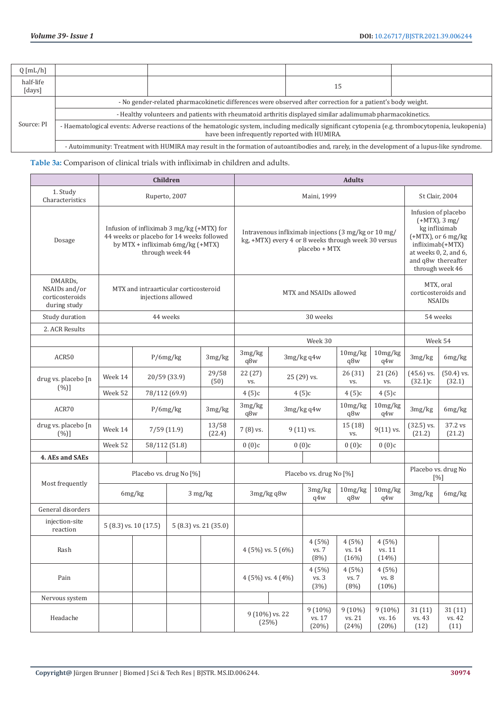| $Q \left[\text{mL/h}\right]$ |                                                                                                                                                                                                     |  |    |  |  |  |  |  |
|------------------------------|-----------------------------------------------------------------------------------------------------------------------------------------------------------------------------------------------------|--|----|--|--|--|--|--|
| half-life<br>[days]          |                                                                                                                                                                                                     |  | 15 |  |  |  |  |  |
|                              | - No gender-related pharmacokinetic differences were observed after correction for a patient's body weight.                                                                                         |  |    |  |  |  |  |  |
| Source: PI                   | - Healthy volunteers and patients with rheumatoid arthritis displayed similar adalimumab pharmacokinetics.                                                                                          |  |    |  |  |  |  |  |
|                              | - Haematological events: Adverse reactions of the hematologic system, including medically significant cytopenia (e.g. thrombocytopenia, leukopenia)<br>have been infrequently reported with HUMIRA. |  |    |  |  |  |  |  |
|                              | - Autoimmunity: Treatment with HUMIRA may result in the formation of autoantibodies and, rarely, in the development of a lupus-like syndrome.                                                       |  |    |  |  |  |  |  |

**Table 3a:** Comparison of clinical trials with infliximab in children and adults.

|                                                             |                       |               | Children                                                                                                                                       |                       | <b>Adults</b>           |                         |                        |                                                                                                             |                              |                                                                                                                                                                               |                                                   |  |
|-------------------------------------------------------------|-----------------------|---------------|------------------------------------------------------------------------------------------------------------------------------------------------|-----------------------|-------------------------|-------------------------|------------------------|-------------------------------------------------------------------------------------------------------------|------------------------------|-------------------------------------------------------------------------------------------------------------------------------------------------------------------------------|---------------------------------------------------|--|
| 1. Study<br>Characteristics                                 |                       |               | Ruperto, 2007                                                                                                                                  |                       |                         |                         | Maini, 1999            |                                                                                                             |                              |                                                                                                                                                                               | St Clair, 2004                                    |  |
| Dosage                                                      |                       |               | Infusion of infliximab 3 mg/kg (+MTX) for<br>44 weeks or placebo for 14 weeks followed<br>by MTX + infliximab 6mg/kg (+MTX)<br>through week 44 |                       |                         |                         | placebo + MTX          | Intravenous infliximab injections (3 mg/kg or 10 mg/<br>kg, +MTX) every 4 or 8 weeks through week 30 versus |                              | Infusion of placebo<br>$(+MTX)$ , 3 mg/<br>kg infliximab<br>$(+MTX)$ , or 6 mg/kg<br>infliximab(+MTX)<br>at weeks $0, 2$ , and $6$ ,<br>and q8w thereafter<br>through week 46 |                                                   |  |
| DMARDs,<br>NSAIDs and/or<br>corticosteroids<br>during study |                       |               | MTX and intraarticular corticosteroid<br>injections allowed                                                                                    |                       |                         | MTX and NSAIDs allowed  |                        |                                                                                                             |                              |                                                                                                                                                                               | MTX, oral<br>corticosteroids and<br><b>NSAIDs</b> |  |
| Study duration                                              |                       |               | 44 weeks                                                                                                                                       |                       |                         | 30 weeks                |                        |                                                                                                             |                              |                                                                                                                                                                               | 54 weeks                                          |  |
| 2. ACR Results                                              |                       |               |                                                                                                                                                |                       |                         |                         |                        |                                                                                                             |                              |                                                                                                                                                                               |                                                   |  |
|                                                             |                       |               |                                                                                                                                                |                       |                         |                         | Week 30                |                                                                                                             |                              | Week 54                                                                                                                                                                       |                                                   |  |
| ACR50                                                       |                       |               | P/6mg/kg<br>3mg/kg                                                                                                                             |                       | 3mg/kg<br>q8w           |                         | 3mg/kg q4w             | 10mg/kg<br>q8w                                                                                              | 10mg/kg<br>q4w               | 3mg/kg                                                                                                                                                                        | 6mg/kg                                            |  |
| drug vs. placebo [n<br>(%)]                                 | Week 14               |               | 20/59 (33.9)                                                                                                                                   |                       | 22 (27)<br>VS.          |                         | 25 (29) vs.            |                                                                                                             | 21 (26)<br>VS.               | $(45.6)$ vs.<br>(32.1)c                                                                                                                                                       | $(50.4)$ vs.<br>(32.1)                            |  |
|                                                             | Week 52               | 78/112 (69.9) |                                                                                                                                                |                       | 4(5)c                   |                         | 4(5)c                  |                                                                                                             | 4(5)c                        |                                                                                                                                                                               |                                                   |  |
| ACR70                                                       |                       |               | P/6mg/kg                                                                                                                                       | 3mg/kg                | 3mg/kg<br>q8w           |                         | $3mg/kg$ q4w           |                                                                                                             | 10mg/kg<br>q4w               | 3mg/kg                                                                                                                                                                        | 6mg/kg                                            |  |
| drug vs. placebo [n<br>(%)]                                 | Week 14               |               | 7/59(11.9)                                                                                                                                     | 13/58<br>(22.4)       | 7 (8) vs.               | $9(11)$ vs.             |                        | 15(18)<br>VS.                                                                                               | $9(11)$ vs.                  | $(32.5)$ vs.<br>(21.2)                                                                                                                                                        | 37.2 vs<br>(21.2)                                 |  |
|                                                             | Week 52               |               | 58/112 (51.8)                                                                                                                                  |                       | 0(0)c                   |                         | 0(0)c                  | 0(0)c                                                                                                       | 0(0)c                        |                                                                                                                                                                               |                                                   |  |
| 4. AEs and SAEs                                             |                       |               |                                                                                                                                                |                       |                         |                         |                        |                                                                                                             |                              |                                                                                                                                                                               |                                                   |  |
|                                                             |                       |               | Placebo vs. drug No [%]                                                                                                                        |                       | Placebo vs. drug No [%] |                         |                        |                                                                                                             |                              | Placebo vs. drug No<br>$[%]$                                                                                                                                                  |                                                   |  |
| Most frequently                                             |                       | 6mg/kg        |                                                                                                                                                | 3 mg/kg               |                         | $3mg/kg$ q8w            | 3mg/kg<br>q4w          | 10mg/kg<br>q8w                                                                                              | 10mg/kg<br>q4w               | 3mg/kg                                                                                                                                                                        | 6mg/kg                                            |  |
| General disorders                                           |                       |               |                                                                                                                                                |                       |                         |                         |                        |                                                                                                             |                              |                                                                                                                                                                               |                                                   |  |
| injection-site<br>reaction                                  | 5 (8.3) vs. 10 (17.5) |               |                                                                                                                                                | 5 (8.3) vs. 21 (35.0) |                         |                         |                        |                                                                                                             |                              |                                                                                                                                                                               |                                                   |  |
| Rash                                                        |                       |               |                                                                                                                                                |                       |                         | 4 (5%) vs. 5 (6%)       | 4(5%)<br>vs. 7<br>(8%) | 4(5%)<br>vs. 14<br>(16%)                                                                                    | 4(5%)<br>vs. 11<br>(14%)     |                                                                                                                                                                               |                                                   |  |
| Pain                                                        |                       |               |                                                                                                                                                |                       |                         | $4(5\%)$ vs. $4(4\%)$   | 4(5%)<br>vs. 3<br>(3%) | 4(5%)<br>vs. 7<br>(8%)                                                                                      | 4(5%)<br>vs. 8<br>(10%)      |                                                                                                                                                                               |                                                   |  |
| Nervous system                                              |                       |               |                                                                                                                                                |                       |                         |                         |                        |                                                                                                             |                              |                                                                                                                                                                               |                                                   |  |
| Headache                                                    |                       |               |                                                                                                                                                |                       |                         | 9 (10%) vs. 22<br>(25%) |                        | $9(10\%)$<br>vs. 21<br>(24%)                                                                                | $9(10\%)$<br>vs. 16<br>(20%) | 31(11)<br>vs. 43<br>(12)                                                                                                                                                      | 31(11)<br>vs. 42<br>(11)                          |  |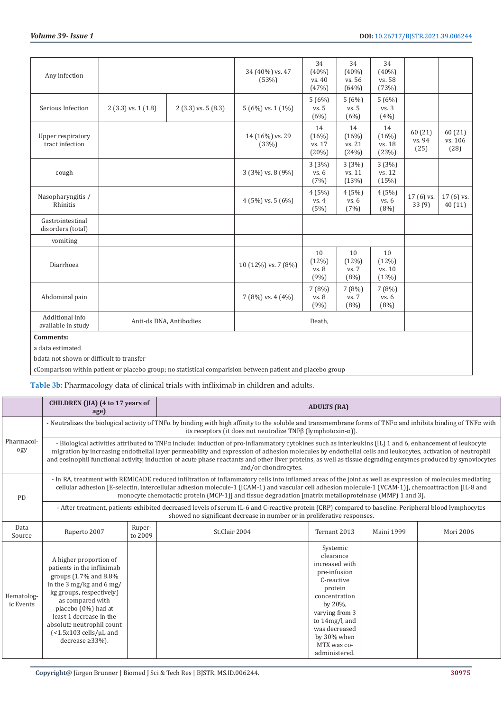| Any infection                         |                         |                        | 34 (40%) vs. 47<br>(53%) | 34<br>$(40\%)$<br>vs. 40<br>(47%) | 34<br>$(40\%)$<br>vs. 56<br>(64%) | 34<br>$(40\%)$<br>vs. 58<br>(73%) |                          |                            |
|---------------------------------------|-------------------------|------------------------|--------------------------|-----------------------------------|-----------------------------------|-----------------------------------|--------------------------|----------------------------|
| Serious Infection                     | $2(3.3)$ vs. $1(1.8)$   | $2(3.3)$ vs. 5 $(8.3)$ | $5(6\%)$ vs. $1(1\%)$    | 5(6%)<br>vs. 5<br>(6%)            | 5(6%)<br>vs. 5<br>(6%)            | 5(6%)<br>vs. 3<br>(4%)            |                          |                            |
| Upper respiratory<br>tract infection  |                         |                        | 14 (16%) vs. 29<br>(33%) | 14<br>(16%)<br>vs. 17<br>(20%)    | 14<br>(16%)<br>vs. 21<br>(24%)    | 14<br>(16%)<br>vs. 18<br>(23%)    | 60(21)<br>vs. 94<br>(25) | 60 (21)<br>vs. 106<br>(28) |
| cough                                 |                         |                        | 3 (3%) vs. 8 (9%)        | 3(3%)<br>vs. 6<br>(7%)            | 3(3%)<br>vs. 11<br>(13%)          | 3(3%)<br>vs. 12<br>(15%)          |                          |                            |
| Nasopharyngitis /<br>Rhinitis         |                         |                        | $4(5\%)$ vs. $5(6\%)$    | 4(5%)<br>vs. 4<br>(5%)            | 4(5%)<br>vs. 6<br>(7%)            | 4(5%)<br>vs. 6<br>(8%)            | $17(6)$ vs.<br>33 (9)    | 17 (6) vs.<br>40(11)       |
| Gastrointestinal<br>disorders (total) |                         |                        |                          |                                   |                                   |                                   |                          |                            |
| vomiting                              |                         |                        |                          |                                   |                                   |                                   |                          |                            |
| Diarrhoea                             |                         |                        | 10 (12%) vs. 7 (8%)      | 10<br>(12%)<br>vs. 8<br>(9%)      | 10<br>(12%)<br>vs. 7<br>(8%)      | 10<br>(12%)<br>vs. 10<br>(13%)    |                          |                            |
| Abdominal pain                        |                         |                        | $7(8\%)$ vs. $4(4\%)$    | 7 (8%)<br>vs. 8<br>(9%)           | 7(8%)<br>vs. 7<br>(8%)            | 7(8%)<br>vs. 6<br>(8%)            |                          |                            |
| Additional info<br>available in study | Anti-ds DNA, Antibodies |                        |                          | Death,                            |                                   |                                   |                          |                            |
| <b>Comments:</b>                      |                         |                        |                          |                                   |                                   |                                   |                          |                            |
| a data estimated                      |                         |                        |                          |                                   |                                   |                                   |                          |                            |

bdata not shown or difficult to transfer

cComparison within patient or placebo group; no statistical comparision between patient and placebo group

**Table 3b:** Pharmacology data of clinical trials with infliximab in children and adults.

|                         | CHILDREN (JIA) (4 to 17 years of<br>age)                                                                                                                                                                                                                                                               |                   |                                                                                                                                                                                                                                                                                                                                                                                                                                                                                                                       | <b>ADULTS (RA)</b>                                                                                                                                                                                               |                   |           |
|-------------------------|--------------------------------------------------------------------------------------------------------------------------------------------------------------------------------------------------------------------------------------------------------------------------------------------------------|-------------------|-----------------------------------------------------------------------------------------------------------------------------------------------------------------------------------------------------------------------------------------------------------------------------------------------------------------------------------------------------------------------------------------------------------------------------------------------------------------------------------------------------------------------|------------------------------------------------------------------------------------------------------------------------------------------------------------------------------------------------------------------|-------------------|-----------|
|                         |                                                                                                                                                                                                                                                                                                        |                   | - Neutralizes the biological activity of TNF $\alpha$ by binding with high affinity to the soluble and transmembrane forms of TNF $\alpha$ and inhibits binding of TNF $\alpha$ with<br>its receptors (it does not neutralize TNF $\beta$ (lymphotoxin- $\alpha$ )).                                                                                                                                                                                                                                                  |                                                                                                                                                                                                                  |                   |           |
| Pharmacol-<br>ogy       |                                                                                                                                                                                                                                                                                                        |                   | - Biological activities attributed to TNF $\alpha$ include: induction of pro-inflammatory cytokines such as interleukins (IL) 1 and 6, enhancement of leukocyte<br>migration by increasing endothelial layer permeability and expression of adhesion molecules by endothelial cells and leukocytes, activation of neutrophil<br>and eosinophil functional activity, induction of acute phase reactants and other liver proteins, as well as tissue degrading enzymes produced by synoviocytes<br>and/or chondrocytes. |                                                                                                                                                                                                                  |                   |           |
| PD                      |                                                                                                                                                                                                                                                                                                        |                   | - In RA, treatment with REMICADE reduced infiltration of inflammatory cells into inflamed areas of the joint as well as expression of molecules mediating<br>cellular adhesion [E-selectin, intercellular adhesion molecule-1 (ICAM-1) and vascular cell adhesion molecule-1 (VCAM-1)], chemoattraction [IL-8 and<br>monocyte chemotactic protein (MCP-1)] and tissue degradation [matrix metalloproteinase (MMP) 1 and 3].                                                                                           |                                                                                                                                                                                                                  |                   |           |
|                         |                                                                                                                                                                                                                                                                                                        |                   | - After treatment, patients exhibited decreased levels of serum IL-6 and C-reactive protein (CRP) compared to baseline. Peripheral blood lymphocytes<br>showed no significant decrease in number or in proliferative responses.                                                                                                                                                                                                                                                                                       |                                                                                                                                                                                                                  |                   |           |
| Data<br>Source          | Ruperto 2007                                                                                                                                                                                                                                                                                           | Ruper-<br>to 2009 | St.Clair 2004                                                                                                                                                                                                                                                                                                                                                                                                                                                                                                         | Ternant 2013                                                                                                                                                                                                     | <b>Maini 1999</b> | Mori 2006 |
| Hematolog-<br>ic Events | A higher proportion of<br>patients in the infliximab<br>groups (1.7% and 8.8%<br>in the 3 mg/kg and 6 mg/<br>kg groups, respectively)<br>as compared with<br>placebo (0%) had at<br>least 1 decrease in the<br>absolute neutrophil count<br>$\frac{54.5x103}{2}$ cells/µL and<br>decrease $\geq$ 33%). |                   |                                                                                                                                                                                                                                                                                                                                                                                                                                                                                                                       | Systemic<br>clearance<br>increased with<br>pre-infusion<br>C-reactive<br>protein<br>concentration<br>by 20%,<br>varying from 3<br>to 14mg/l, and<br>was decreased<br>by 30% when<br>MTX was co-<br>administered. |                   |           |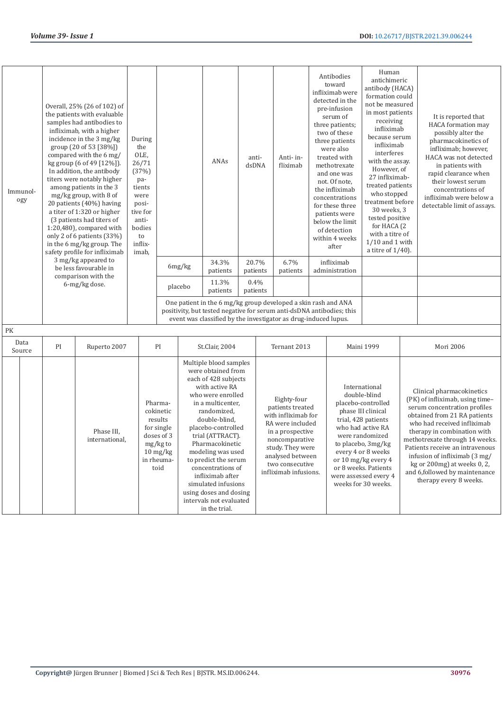| Immunol-<br>ogy |    | Overall, 25% (26 of 102) of<br>the patients with evaluable<br>samples had antibodies to<br>infliximab, with a higher<br>incidence in the 3 mg/kg<br>group (20 of 53 [38%])<br>compared with the 6 mg/<br>kg group (6 of 49 [12%]).<br>In addition, the antibody<br>titers were notably higher<br>among patients in the 3<br>mg/kg group, with 8 of<br>20 patients (40%) having<br>a titer of 1:320 or higher<br>(3 patients had titers of<br>1:20,480), compared with<br>only 2 of 6 patients (33%)<br>in the 6 mg/kg group. The<br>safety profile for infliximab<br>3 mg/kg appeared to<br>be less favourable in<br>comparison with the | During<br>the<br>OLE,<br>26/71<br>(37%)<br>pa-<br>tients<br>were<br>posi-<br>tive for<br>anti-<br>bodies<br>to<br>inflix-<br>imab, |                                                                                                                                   | 6mg/kg  | ANAs<br>34.3%<br>patients                                                                                                                                                                                                                                                                                                                                                                                        | anti-<br>dsDNA<br>20.7%<br>patients |      | Anti-in-<br>fliximab<br>6.7%<br>patients                                                                                                                                                             | Antibodies<br>toward<br>infliximab were<br>detected in the<br>pre-infusion<br>serum of<br>three patients;<br>two of these<br>three patients<br>were also<br>treated with<br>methotrexate<br>and one was<br>not. Of note,<br>the infliximab<br>concentrations<br>for these three<br>patients were<br>below the limit<br>of detection<br>within 4 weeks<br>after<br>infliximab<br>administration | Human<br>antichimeric<br>antibody (HACA)<br>formation could<br>not be measured<br>in most patients<br>receiving<br>infliximab<br>because serum<br>infliximab<br>interferes<br>with the assay.<br>However, of<br>27 infliximab-<br>treated patients<br>who stopped<br>treatment before<br>30 weeks, 3<br>tested positive<br>for HACA (2<br>with a titre of<br>$1/10$ and 1 with<br>a titre of $1/40$ ). | It is reported that<br><b>HACA</b> formation may<br>possibly alter the<br>pharmacokinetics of<br>infliximab; however,<br>HACA was not detected<br>in patients with<br>rapid clearance when<br>their lowest serum<br>concentrations of<br>infliximab were below a<br>detectable limit of assays.                                                                                            |
|-----------------|----|------------------------------------------------------------------------------------------------------------------------------------------------------------------------------------------------------------------------------------------------------------------------------------------------------------------------------------------------------------------------------------------------------------------------------------------------------------------------------------------------------------------------------------------------------------------------------------------------------------------------------------------|------------------------------------------------------------------------------------------------------------------------------------|-----------------------------------------------------------------------------------------------------------------------------------|---------|------------------------------------------------------------------------------------------------------------------------------------------------------------------------------------------------------------------------------------------------------------------------------------------------------------------------------------------------------------------------------------------------------------------|-------------------------------------|------|------------------------------------------------------------------------------------------------------------------------------------------------------------------------------------------------------|------------------------------------------------------------------------------------------------------------------------------------------------------------------------------------------------------------------------------------------------------------------------------------------------------------------------------------------------------------------------------------------------|--------------------------------------------------------------------------------------------------------------------------------------------------------------------------------------------------------------------------------------------------------------------------------------------------------------------------------------------------------------------------------------------------------|--------------------------------------------------------------------------------------------------------------------------------------------------------------------------------------------------------------------------------------------------------------------------------------------------------------------------------------------------------------------------------------------|
|                 |    | 6-mg/kg dose.                                                                                                                                                                                                                                                                                                                                                                                                                                                                                                                                                                                                                            |                                                                                                                                    |                                                                                                                                   | placebo | 11.3%<br>patients<br>One patient in the 6 mg/kg group developed a skin rash and ANA                                                                                                                                                                                                                                                                                                                              | patients                            | 0.4% |                                                                                                                                                                                                      |                                                                                                                                                                                                                                                                                                                                                                                                |                                                                                                                                                                                                                                                                                                                                                                                                        |                                                                                                                                                                                                                                                                                                                                                                                            |
|                 |    |                                                                                                                                                                                                                                                                                                                                                                                                                                                                                                                                                                                                                                          |                                                                                                                                    |                                                                                                                                   |         | positivity, but tested negative for serum anti-dsDNA antibodies; this<br>event was classified by the investigator as drug-induced lupus.                                                                                                                                                                                                                                                                         |                                     |      |                                                                                                                                                                                                      |                                                                                                                                                                                                                                                                                                                                                                                                |                                                                                                                                                                                                                                                                                                                                                                                                        |                                                                                                                                                                                                                                                                                                                                                                                            |
| PK              |    |                                                                                                                                                                                                                                                                                                                                                                                                                                                                                                                                                                                                                                          |                                                                                                                                    |                                                                                                                                   |         |                                                                                                                                                                                                                                                                                                                                                                                                                  |                                     |      |                                                                                                                                                                                                      |                                                                                                                                                                                                                                                                                                                                                                                                |                                                                                                                                                                                                                                                                                                                                                                                                        |                                                                                                                                                                                                                                                                                                                                                                                            |
| Data<br>Source  | PI | Ruperto 2007                                                                                                                                                                                                                                                                                                                                                                                                                                                                                                                                                                                                                             |                                                                                                                                    | PI                                                                                                                                |         | St.Clair, 2004                                                                                                                                                                                                                                                                                                                                                                                                   |                                     |      | Ternant 2013                                                                                                                                                                                         |                                                                                                                                                                                                                                                                                                                                                                                                | Maini 1999                                                                                                                                                                                                                                                                                                                                                                                             | Mori 2006                                                                                                                                                                                                                                                                                                                                                                                  |
|                 |    | Phase III.<br>international                                                                                                                                                                                                                                                                                                                                                                                                                                                                                                                                                                                                              |                                                                                                                                    | Pharma-<br>cokinetic<br>results<br>for single<br>doses of 3<br>mg/kg to<br>$10 \frac{\text{mg}}{\text{kg}}$<br>in rheuma-<br>toid |         | Multiple blood samples<br>were obtained from<br>each of 428 subjects<br>with active RA<br>who were enrolled<br>in a multicenter,<br>randomized.<br>double-blind.<br>placebo-controlled<br>trial (ATTRACT).<br>Pharmacokinetic<br>modeling was used<br>to predict the serum<br>concentrations of<br>infliximab after<br>simulated infusions<br>using doses and dosing<br>intervals not evaluated<br>in the trial. |                                     |      | Eighty-four<br>patients treated<br>with infliximab for<br>RA were included<br>in a prospective<br>noncomparative<br>study. They were<br>analysed between<br>two consecutive<br>infliximab infusions. |                                                                                                                                                                                                                                                                                                                                                                                                | International<br>double-blind<br>placebo-controlled<br>phase III clinical<br>trial, 428 patients<br>who had active RA<br>were randomized<br>to placebo, 3mg/kg<br>every 4 or 8 weeks<br>or 10 mg/kg every 4<br>or 8 weeks. Patients<br>were assessed every 4<br>weeks for 30 weeks.                                                                                                                    | Clinical pharmacokinetics<br>(PK) of infliximab, using time-<br>serum concentration profiles<br>obtained from 21 RA patients<br>who had received infliximab<br>therapy in combination with<br>methotrexate through 14 weeks.<br>Patients receive an intravenous<br>infusion of infliximab (3 mg/<br>kg or 200mg) at weeks 0, 2,<br>and 6,followed by maintenance<br>therapy every 8 weeks. |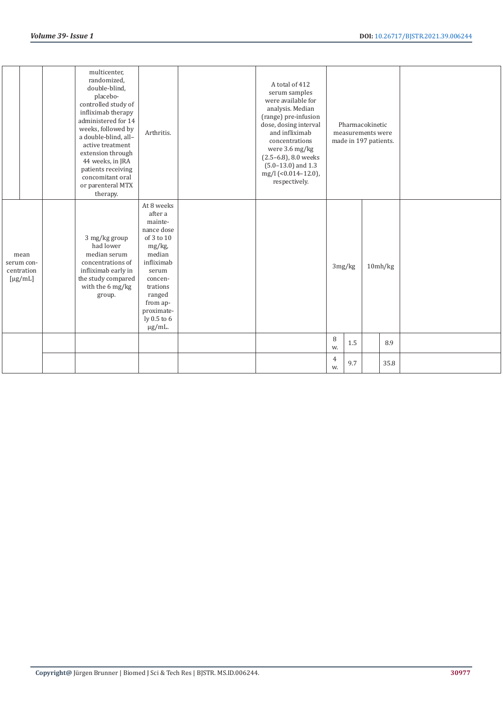|                                                                 | multicenter,<br>randomized,<br>double-blind,<br>placebo-<br>controlled study of<br>infliximab therapy<br>administered for 14<br>weeks, followed by<br>a double-blind, all-<br>active treatment<br>extension through<br>44 weeks, in JRA<br>patients receiving<br>concomitant oral<br>or parenteral MTX<br>therapy. | Arthritis.                                                                                                                                                                                           | A total of 412<br>serum samples<br>were available for<br>analysis. Median<br>(range) pre-infusion<br>dose, dosing interval<br>and infliximab<br>concentrations<br>were 3.6 mg/kg<br>$(2.5-6.8)$ , 8.0 weeks<br>$(5.0-13.0)$ and 1.3<br>mg/l (<0.014-12.0),<br>respectively. |         | Pharmacokinetic<br>measurements were<br>made in 197 patients. |         |  |
|-----------------------------------------------------------------|--------------------------------------------------------------------------------------------------------------------------------------------------------------------------------------------------------------------------------------------------------------------------------------------------------------------|------------------------------------------------------------------------------------------------------------------------------------------------------------------------------------------------------|-----------------------------------------------------------------------------------------------------------------------------------------------------------------------------------------------------------------------------------------------------------------------------|---------|---------------------------------------------------------------|---------|--|
| mean<br>serum con-<br>centration<br>$\lceil \mu g / m L \rceil$ | 3 mg/kg group<br>had lower<br>median serum<br>concentrations of<br>infliximab early in<br>the study compared<br>with the 6 mg/kg<br>group.                                                                                                                                                                         | At 8 weeks<br>after a<br>mainte-<br>nance dose<br>of 3 to 10<br>mg/kg,<br>median<br>infliximab<br>serum<br>concen-<br>trations<br>ranged<br>from ap-<br>proximate-<br>ly $0.5$ to $6$<br>$\mu$ g/mL. |                                                                                                                                                                                                                                                                             | 3mg/kg  |                                                               | 10mh/kg |  |
|                                                                 |                                                                                                                                                                                                                                                                                                                    |                                                                                                                                                                                                      |                                                                                                                                                                                                                                                                             | 8<br>W. | 1.5                                                           | 8.9     |  |
|                                                                 |                                                                                                                                                                                                                                                                                                                    |                                                                                                                                                                                                      |                                                                                                                                                                                                                                                                             | 4<br>W. | 9.7                                                           | 35.8    |  |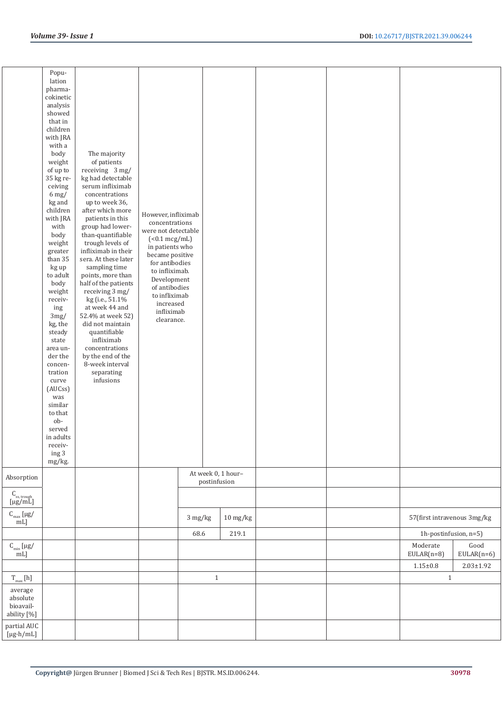|                                                           | Popu-<br>lation<br>pharma-<br>cokinetic<br>analysis<br>showed<br>that in<br>children<br>with JRA<br>with a<br>body<br>weight<br>of up to<br>35 kg re-<br>ceiving<br>$6 \,\mathrm{mg}/$<br>kg and<br>children<br>with JRA<br>with<br>body<br>weight<br>greater<br>than 35<br>kg up<br>to adult<br>body<br>weight<br>receiv-<br>ing<br>$3 \text{mg} /$<br>kg, the<br>steady<br>state<br>area un-<br>der the<br>concen-<br>tration<br>curve<br>(AUCss)<br>was<br>similar<br>to that<br>ob-<br>served<br>in adults<br>receiv-<br>ing 3<br>mg/kg. | The majority<br>of patients<br>receiving 3 mg/<br>kg had detectable<br>serum infliximab<br>concentrations<br>up to week 36,<br>after which more<br>patients in this<br>group had lower-<br>than-quantifiable<br>trough levels of<br>infliximab in their<br>sera. At these later<br>sampling time<br>points, more than<br>half of the patients<br>receiving 3 mg/<br>kg (i.e., 51.1%<br>at week 44 and<br>52.4% at week 52)<br>did not maintain<br>quantifiable<br>infliximab<br>concentrations<br>by the end of the<br>8-week interval<br>separating<br>infusions | However, infliximab<br>concentrations<br>were not detectable<br>$(0.1 \text{ mcg/mL})$<br>in patients who<br>became positive<br>for antibodies<br>to infliximab.<br>Development<br>of antibodies<br>to infliximab<br>increased<br>infliximab<br>clearance. |         |                                    |  |                                                   |                      |
|-----------------------------------------------------------|----------------------------------------------------------------------------------------------------------------------------------------------------------------------------------------------------------------------------------------------------------------------------------------------------------------------------------------------------------------------------------------------------------------------------------------------------------------------------------------------------------------------------------------------|-------------------------------------------------------------------------------------------------------------------------------------------------------------------------------------------------------------------------------------------------------------------------------------------------------------------------------------------------------------------------------------------------------------------------------------------------------------------------------------------------------------------------------------------------------------------|------------------------------------------------------------------------------------------------------------------------------------------------------------------------------------------------------------------------------------------------------------|---------|------------------------------------|--|---------------------------------------------------|----------------------|
| Absorption                                                |                                                                                                                                                                                                                                                                                                                                                                                                                                                                                                                                              |                                                                                                                                                                                                                                                                                                                                                                                                                                                                                                                                                                   |                                                                                                                                                                                                                                                            |         | At week 0, 1 hour-<br>postinfusion |  |                                                   |                      |
| $\mathcal{C}_{\textrm{\tiny ss, trough}}$ [µg/mL]         |                                                                                                                                                                                                                                                                                                                                                                                                                                                                                                                                              |                                                                                                                                                                                                                                                                                                                                                                                                                                                                                                                                                                   |                                                                                                                                                                                                                                                            |         |                                    |  |                                                   |                      |
| $\text{C}_{\max}$ [µg/ mL]                                |                                                                                                                                                                                                                                                                                                                                                                                                                                                                                                                                              |                                                                                                                                                                                                                                                                                                                                                                                                                                                                                                                                                                   |                                                                                                                                                                                                                                                            | 3 mg/kg | $10 \frac{\text{mg}}{\text{kg}}$   |  | 57(first intravenous 3mg/kg                       |                      |
| $\text{C}_{\text{min}}\left[\mu\text{g}/\text{mL}\right]$ |                                                                                                                                                                                                                                                                                                                                                                                                                                                                                                                                              |                                                                                                                                                                                                                                                                                                                                                                                                                                                                                                                                                                   |                                                                                                                                                                                                                                                            | 68.6    | 219.1                              |  | 1h-postinfusion, n=5)<br>Moderate<br>$EULAR(n=8)$ | Good<br>$EULAR(n=6)$ |
|                                                           |                                                                                                                                                                                                                                                                                                                                                                                                                                                                                                                                              |                                                                                                                                                                                                                                                                                                                                                                                                                                                                                                                                                                   |                                                                                                                                                                                                                                                            |         |                                    |  | $1.15 \pm 0.8$                                    | $2.03 \pm 1.92$      |
| $\rm T_{max}$ [h]                                         |                                                                                                                                                                                                                                                                                                                                                                                                                                                                                                                                              |                                                                                                                                                                                                                                                                                                                                                                                                                                                                                                                                                                   |                                                                                                                                                                                                                                                            |         | $1\,$                              |  | $\mathbf{1}$                                      |                      |
| average<br>absolute<br>bioavail-<br>ability [%]           |                                                                                                                                                                                                                                                                                                                                                                                                                                                                                                                                              |                                                                                                                                                                                                                                                                                                                                                                                                                                                                                                                                                                   |                                                                                                                                                                                                                                                            |         |                                    |  |                                                   |                      |
| partial AUC<br>$[\mu g \cdot h/mL]$                       |                                                                                                                                                                                                                                                                                                                                                                                                                                                                                                                                              |                                                                                                                                                                                                                                                                                                                                                                                                                                                                                                                                                                   |                                                                                                                                                                                                                                                            |         |                                    |  |                                                   |                      |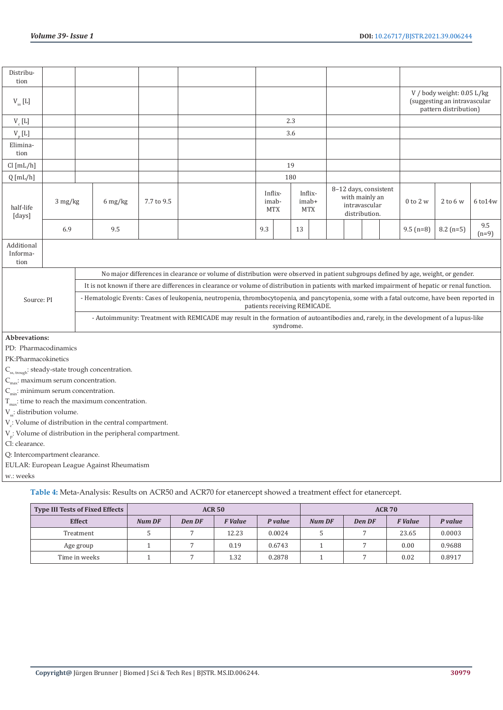| Distribu-<br>tion                               |         |                                                                                 |            |                                                                                                                                                  |                  |            |    |                                |                                                          |               |              |                                                                                     |                |
|-------------------------------------------------|---------|---------------------------------------------------------------------------------|------------|--------------------------------------------------------------------------------------------------------------------------------------------------|------------------|------------|----|--------------------------------|----------------------------------------------------------|---------------|--------------|-------------------------------------------------------------------------------------|----------------|
| $V_{ss}$ [L]                                    |         |                                                                                 |            |                                                                                                                                                  |                  |            |    |                                |                                                          |               |              | V / body weight: 0.05 L/kg<br>(suggesting an intravascular<br>pattern distribution) |                |
| $V_c$ [L]                                       |         |                                                                                 |            |                                                                                                                                                  |                  | 2.3        |    |                                |                                                          |               |              |                                                                                     |                |
| $V_{p}$ [L]                                     |         |                                                                                 |            |                                                                                                                                                  |                  | 3.6        |    |                                |                                                          |               |              |                                                                                     |                |
| Elimina-<br>tion                                |         |                                                                                 |            |                                                                                                                                                  |                  |            |    |                                |                                                          |               |              |                                                                                     |                |
| Cl [mL/h]                                       |         |                                                                                 |            |                                                                                                                                                  |                  | 19         |    |                                |                                                          |               |              |                                                                                     |                |
| $Q$ [mL/h]                                      |         |                                                                                 |            |                                                                                                                                                  |                  | 180        |    |                                |                                                          |               |              |                                                                                     |                |
| half-life<br>[days]                             | 3 mg/kg | $6 \frac{\text{mg}}{\text{kg}}$                                                 | 7.7 to 9.5 |                                                                                                                                                  | Inflix-<br>imab- | <b>MTX</b> |    | Inflix-<br>imab+<br><b>MTX</b> | 8-12 days, consistent<br>with mainly an<br>intravascular | distribution. | $0$ to $2 w$ | $2$ to 6 w                                                                          | 6 to 14w       |
|                                                 | 6.9     | 9.5                                                                             |            |                                                                                                                                                  | 9.3              |            | 13 |                                |                                                          |               | $9.5$ (n=8)  | $8.2$ (n=5)                                                                         | 9.5<br>$(n=9)$ |
| Additional<br>Informa-<br>tion                  |         |                                                                                 |            |                                                                                                                                                  |                  |            |    |                                |                                                          |               |              |                                                                                     |                |
|                                                 |         |                                                                                 |            | No major differences in clearance or volume of distribution were observed in patient subgroups defined by age, weight, or gender.                |                  |            |    |                                |                                                          |               |              |                                                                                     |                |
|                                                 |         |                                                                                 |            | It is not known if there are differences in clearance or volume of distribution in patients with marked impairment of hepatic or renal function. |                  |            |    |                                |                                                          |               |              |                                                                                     |                |
| Source: PI                                      |         |                                                                                 |            | - Hematologic Events: Cases of leukopenia, neutropenia, thrombocytopenia, and pancytopenia, some with a fatal outcome, have been reported in     |                  |            |    | patients receiving REMICADE.   |                                                          |               |              |                                                                                     |                |
|                                                 |         |                                                                                 |            | - Autoimmunity: Treatment with REMICADE may result in the formation of autoantibodies and, rarely, in the development of a lupus-like            |                  | syndrome.  |    |                                |                                                          |               |              |                                                                                     |                |
| Abbrevations:                                   |         |                                                                                 |            |                                                                                                                                                  |                  |            |    |                                |                                                          |               |              |                                                                                     |                |
| PD: Pharmacodinamics                            |         |                                                                                 |            |                                                                                                                                                  |                  |            |    |                                |                                                          |               |              |                                                                                     |                |
| PK:Pharmacokinetics                             |         |                                                                                 |            |                                                                                                                                                  |                  |            |    |                                |                                                          |               |              |                                                                                     |                |
|                                                 |         | $\mathsf{C}_{_\mathrm{ss,\,trough}}$ : steady-state trough concentration.       |            |                                                                                                                                                  |                  |            |    |                                |                                                          |               |              |                                                                                     |                |
| $C_{\text{max}}$ : maximum serum concentration. |         |                                                                                 |            |                                                                                                                                                  |                  |            |    |                                |                                                          |               |              |                                                                                     |                |
| $C_{\text{min}}$ : minimum serum concentration. |         |                                                                                 |            |                                                                                                                                                  |                  |            |    |                                |                                                          |               |              |                                                                                     |                |
| V <sub>ss</sub> : distribution volume.          |         | $T_{\text{max}}$ : time to reach the maximum concentration.                     |            |                                                                                                                                                  |                  |            |    |                                |                                                          |               |              |                                                                                     |                |
|                                                 |         | $V_c$ : Volume of distribution in the central compartment.                      |            |                                                                                                                                                  |                  |            |    |                                |                                                          |               |              |                                                                                     |                |
|                                                 |         | $\mathrm{V}_\mathrm{p}$ . Volume of distribution in the peripheral compartment. |            |                                                                                                                                                  |                  |            |    |                                |                                                          |               |              |                                                                                     |                |
| Cl: clearance.                                  |         |                                                                                 |            |                                                                                                                                                  |                  |            |    |                                |                                                          |               |              |                                                                                     |                |
| Q: Intercompartment clearance.                  |         |                                                                                 |            |                                                                                                                                                  |                  |            |    |                                |                                                          |               |              |                                                                                     |                |
|                                                 |         | EULAR: European League Against Rheumatism                                       |            |                                                                                                                                                  |                  |            |    |                                |                                                          |               |              |                                                                                     |                |
| w.: weeks                                       |         |                                                                                 |            |                                                                                                                                                  |                  |            |    |                                |                                                          |               |              |                                                                                     |                |
|                                                 |         |                                                                                 |            |                                                                                                                                                  |                  |            |    |                                |                                                          |               |              |                                                                                     |                |

**Table 4:** Meta-Analysis: Results on ACR50 and ACR70 for etanercept showed a treatment effect for etanercept.

| <b>Type III Tests of Fixed Effects</b> |               |        | <b>ACR 50</b>  |         |               |        | <b>ACR 70</b>  |         |
|----------------------------------------|---------------|--------|----------------|---------|---------------|--------|----------------|---------|
| <b>Effect</b>                          | <b>Num DF</b> | Den DF | <b>F</b> Value | P value | <b>Num DF</b> | Den DF | <b>F</b> Value | P value |
| Treatment                              |               |        | 12.23          | 0.0024  |               |        | 23.65          | 0.0003  |
| Age group                              |               |        | 0.19           | 0.6743  |               |        | 0.00           | 0.9688  |
| Time in weeks                          |               |        | 1.32           | 0.2878  |               |        | 0.02           | 0.8917  |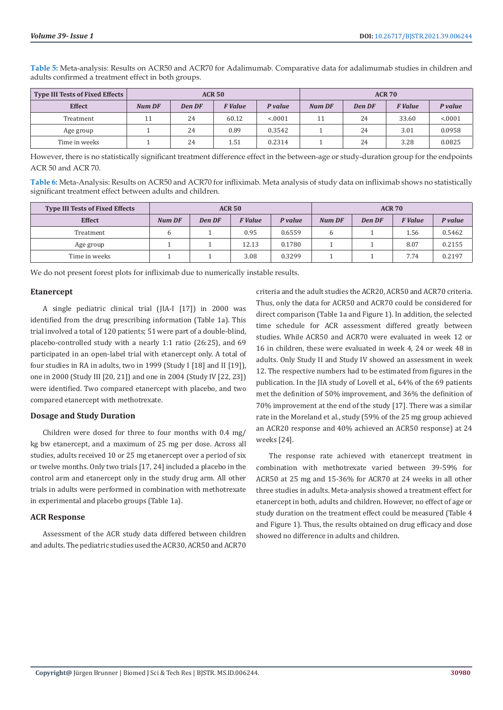| <b>Type III Tests of Fixed Effects</b> |               |        | <b>ACR 50</b>  |         |               |        | <b>ACR 70</b>  |         |
|----------------------------------------|---------------|--------|----------------|---------|---------------|--------|----------------|---------|
| <b>Effect</b>                          | <b>Num DF</b> | Den DF | <b>F</b> Value | P value | <b>Num DF</b> | Den DF | <b>F</b> Value | P value |
| Treatment                              | 11            | 24     | 60.12          | < 0001  | 11            | 24     | 33.60          | < 0.001 |
| Age group                              |               | 24     | 0.89           | 0.3542  |               | 24     | 3.01           | 0.0958  |
| Time in weeks                          |               | 24     | 1.51           | 0.2314  |               | 24     | 3.28           | 0.0825  |

**Table 5:** Meta-analysis: Results on ACR50 and ACR70 for Adalimumab. Comparative data for adalimumab studies in children and adults confirmed a treatment effect in both groups.

However, there is no statistically significant treatment difference effect in the between-age or study-duration group for the endpoints ACR 50 and ACR 70.

**Table 6:** Meta-Analysis: Results on ACR50 and ACR70 for infliximab. Meta analysis of study data on infliximab shows no statistically significant treatment effect between adults and children.

| <b>Type III Tests of Fixed Effects</b> |               |        | <b>ACR 50</b>  |         |               |        | <b>ACR 70</b>  |         |
|----------------------------------------|---------------|--------|----------------|---------|---------------|--------|----------------|---------|
| <b>Effect</b>                          | <b>Num DF</b> | Den DF | <b>F</b> Value | P value | <b>Num DF</b> | Den DF | <b>F</b> Value | P value |
| Treatment                              |               |        | 0.95           | 0.6559  |               |        | 1.56           | 0.5462  |
| Age group                              |               |        | 12.13          | 0.1780  |               |        | 8.07           | 0.2155  |
| Time in weeks                          |               |        | 3.08           | 0.3299  |               |        | 7.74           | 0.2197  |

We do not present forest plots for infliximab due to numerically instable results.

#### **Etanercept**

A single pediatric clinical trial (JIA-I [17]) in 2000 was identified from the drug prescribing information (Table 1a). This trial involved a total of 120 patients; 51 were part of a double-blind, placebo-controlled study with a nearly 1:1 ratio (26:25), and 69 participated in an open-label trial with etanercept only. A total of four studies in RA in adults, two in 1999 (Study I [18] and II [19]). one in 2000 (Study III [20, 21]) and one in 2004 (Study IV [22, 23]) were identified. Two compared etanercept with placebo, and two compared etanercept with methotrexate.

#### **Dosage and Study Duration**

Children were dosed for three to four months with 0.4 mg/ kg bw etanercept, and a maximum of 25 mg per dose. Across all studies, adults received 10 or 25 mg etanercept over a period of six or twelve months. Only two trials [17, 24] included a placebo in the control arm and etanercept only in the study drug arm. All other trials in adults were performed in combination with methotrexate in experimental and placebo groups (Table 1a).

#### **ACR Response**

Assessment of the ACR study data differed between children and adults. The pediatric studies used the ACR30, ACR50 and ACR70

criteria and the adult studies the ACR20, ACR50 and ACR70 criteria. Thus, only the data for ACR50 and ACR70 could be considered for direct comparison (Table 1a and Figure 1). In addition, the selected time schedule for ACR assessment differed greatly between studies. While ACR50 and ACR70 were evaluated in week 12 or 16 in children, these were evaluated in week 4, 24 or week 48 in adults. Only Study II and Study IV showed an assessment in week 12. The respective numbers had to be estimated from figures in the publication. In the JIA study of Lovell et al., 64% of the 69 patients met the definition of 50% improvement, and 36% the definition of 70% improvement at the end of the study [17]. There was a similar rate in the Moreland et al., study (59% of the 25 mg group achieved an ACR20 response and 40% achieved an ACR50 response) at 24 weeks [24].

The response rate achieved with etanercept treatment in combination with methotrexate varied between 39-59% for ACR50 at 25 mg and 15-36% for ACR70 at 24 weeks in all other three studies in adults. Meta-analysis showed a treatment effect for etanercept in both, adults and children. However, no effect of age or study duration on the treatment effect could be measured (Table 4 and Figure 1). Thus, the results obtained on drug efficacy and dose showed no difference in adults and children.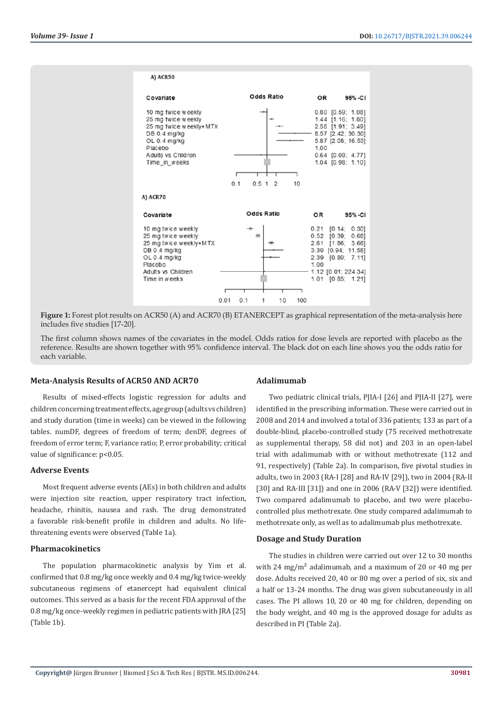| A) ACR50                                                                                                                                             |                                     |                                                                                                                                                                             |
|------------------------------------------------------------------------------------------------------------------------------------------------------|-------------------------------------|-----------------------------------------------------------------------------------------------------------------------------------------------------------------------------|
| Covariate                                                                                                                                            | Odds Ratio                          | OR<br>95% -CI                                                                                                                                                               |
| 10 mg twice weekly<br>25 mg twice weekly<br>25 mg twice weekly+MTX<br>DB 0.4 mg/kg<br>OL 0.4 mg/kg<br>Placebo<br>Adults vs Children<br>Time in weeks | 0.51<br>0.1<br>10<br>$\overline{2}$ | $0.80$ $[0.59; 1.08]$<br>1.44 [1.16; 1.80]<br>2.58 [1.91; 3.49]<br>8.57 [2.42; 30.30]<br>5.87 [2.08; 16.53]<br>1.00<br>$0.64$ [0.09; 4.77]<br>1.04 [0.98; 1.10]             |
| A) ACR70                                                                                                                                             |                                     |                                                                                                                                                                             |
| Covariate                                                                                                                                            | Odds Ratio                          | OR<br>95%-CI                                                                                                                                                                |
| 10 mg twice weekly<br>25 mg twice weekly<br>25 mg twice weekly+MTX<br>DB 0.4 mg/kg<br>OL 0.4 mg/kg<br>Placebo<br>Adults vs Children<br>Time in weeks | 0.01<br>0.1<br>10<br>100<br>1       | $0.21$ $[0.14; 0.30]$<br>$0.52$ $[0.39]$<br>0.681<br>2.61<br>[1.86; 3.66]<br>3.30 [0.94; 11.58]<br>2.39<br>[0.80; 7.11]<br>1.00<br>1.12 [0.01; 224.34]<br>1.01 [0.85; 1.21] |

**Figure 1:** Forest plot results on ACR50 (A) and ACR70 (B) ETANERCEPT as graphical representation of the meta-analysis here includes five studies [17-20].

The first column shows names of the covariates in the model. Odds ratios for dose levels are reported with placebo as the reference. Results are shown together with 95% confidence interval. The black dot on each line shows you the odds ratio for each variable.

#### **Meta-Analysis Results of ACR50 AND ACR70**

Results of mixed-effects logistic regression for adults and children concerning treatment effects, age group (adults vs children) and study duration (time in weeks) can be viewed in the following tables. numDF, degrees of freedom of term; denDF, degrees of freedom of error term; F, variance ratio; P, error probability; critical value of significance: p<0.05.

#### **Adverse Events**

Most frequent adverse events (AEs) in both children and adults were injection site reaction, upper respiratory tract infection, headache, rhinitis, nausea and rash. The drug demonstrated a favorable risk-benefit profile in children and adults. No lifethreatening events were observed (Table 1a).

# **Pharmacokinetics**

The population pharmacokinetic analysis by Yim et al. confirmed that 0.8 mg/kg once weekly and 0.4 mg/kg twice-weekly subcutaneous regimens of etanercept had equivalent clinical outcomes. This served as a basis for the recent FDA approval of the 0.8 mg/kg once-weekly regimen in pediatric patients with JRA [25] (Table 1b).

#### **Adalimumab**

Two pediatric clinical trials, PJIA-I [26] and PJIA-II [27], were identified in the prescribing information. These were carried out in 2008 and 2014 and involved a total of 336 patients; 133 as part of a double-blind, placebo-controlled study (75 received methotrexate as supplemental therapy, 58 did not) and 203 in an open-label trial with adalimumab with or without methotrexate (112 and 91, respectively) (Table 2a). In comparison, five pivotal studies in adults, two in 2003 (RA-I [28] and RA-IV [29]), two in 2004 (RA-II [30] and RA-III [31]) and one in 2006 (RA-V [32]) were identified. Two compared adalimumab to placebo, and two were placebocontrolled plus methotrexate. One study compared adalimumab to methotrexate only, as well as to adalimumab plus methotrexate.

#### **Dosage and Study Duration**

The studies in children were carried out over 12 to 30 months with 24 mg/m<sup>2</sup> adalimumab, and a maximum of 20 or 40 mg per dose. Adults received 20, 40 or 80 mg over a period of six, six and a half or 13-24 months. The drug was given subcutaneously in all cases. The PI allows 10, 20 or 40 mg for children, depending on the body weight, and 40 mg is the approved dosage for adults as described in PI (Table 2a).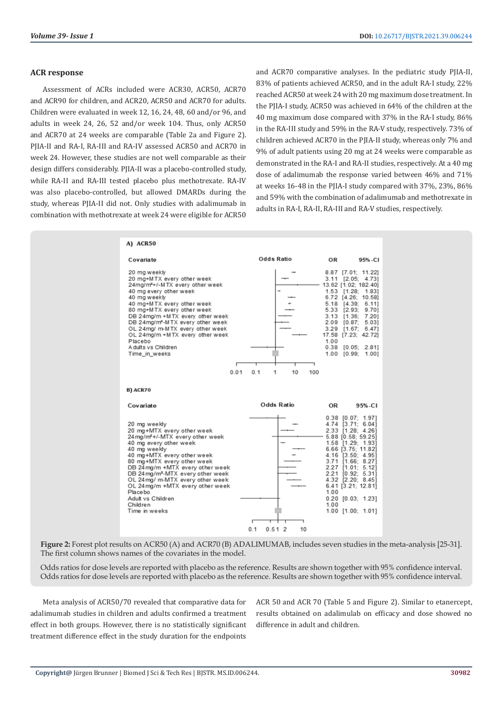#### **ACR response**

Assessment of ACRs included were ACR30, ACR50, ACR70 and ACR90 for children, and ACR20, ACR50 and ACR70 for adults. Children were evaluated in week 12, 16, 24, 48, 60 and/or 96, and adults in week 24, 26, 52 and/or week 104. Thus, only ACR50 and ACR70 at 24 weeks are comparable (Table 2a and Figure 2). PJIA-II and RA-I, RA-III and RA-IV assessed ACR50 and ACR70 in week 24. However, these studies are not well comparable as their design differs considerably. PJIA-II was a placebo-controlled study, while RA-II and RA-III tested placebo plus methotrexate. RA-IV was also placebo-controlled, but allowed DMARDs during the study, whereas PJIA-II did not. Only studies with adalimumab in combination with methotrexate at week 24 were eligible for ACR50 and ACR70 comparative analyses. In the pediatric study PJIA-II, 83% of patients achieved ACR50, and in the adult RA-I study, 22% reached ACR50 at week 24 with 20 mg maximum dose treatment. In the PJIA-I study, ACR50 was achieved in 64% of the children at the 40 mg maximum dose compared with 37% in the RA-I study, 86% in the RA-III study and 59% in the RA-V study, respectively. 73% of children achieved ACR70 in the PJIA-II study, whereas only 7% and 9% of adult patients using 20 mg at 24 weeks were comparable as demonstrated in the RA-I and RA-II studies, respectively. At a 40 mg dose of adalimumab the response varied between 46% and 71% at weeks 16-48 in the PJIA-I study compared with 37%, 23%, 86% and 59% with the combination of adalimumab and methotrexate in adults in RA-I, RA-II, RA-III and RA-V studies, respectively.

|                                                                                                                                                                                                                                                                                                                                                                                                                     | Odds Ratio            | OR                                                   | 95%-CI                                                                                                                                                                                                                                                            |
|---------------------------------------------------------------------------------------------------------------------------------------------------------------------------------------------------------------------------------------------------------------------------------------------------------------------------------------------------------------------------------------------------------------------|-----------------------|------------------------------------------------------|-------------------------------------------------------------------------------------------------------------------------------------------------------------------------------------------------------------------------------------------------------------------|
| 20 mg weekly<br>20 mg+MTX every other week<br>24mg/m <sup>2</sup> +/-MTX every other week<br>40 mg every other week<br>40 mg weekly<br>40 mg+MTX every other week<br>80 mg+MTX every other week<br>DB 24mg/m +MTX every other week<br>DB 24mg/m <sup>2</sup> -MTX every other week<br>OL 24mg/ m-MTX every other week<br>OL 24mg/m +MTX every other week<br>Placebo<br>A dults vs Children<br>Time in weeks<br>0.01 | 0.1<br>10<br>100<br>1 | 5.18<br>5.33<br>3.13<br>2.09<br>3.29<br>1.00<br>0.38 | 8.87 [7.01; 11.22]<br>3.11 [2.05; 4.73]<br>13.62 [1.02; 182.40]<br>1.53 [1.28; 1.83]<br>6.72 [4.26; 10.58]<br>[4.39]<br>6.11<br>[2.93]<br>9.701<br>7.201<br>[1.36]<br>[0.87]<br>5.03]<br>[1.67; 6.47]<br>17.58 [7.23; 42.72]<br>[0.05; 2.81]<br>1.00 [0.99; 1.00] |
| B) ACR70                                                                                                                                                                                                                                                                                                                                                                                                            |                       |                                                      |                                                                                                                                                                                                                                                                   |
|                                                                                                                                                                                                                                                                                                                                                                                                                     | Odds Ratio            |                                                      |                                                                                                                                                                                                                                                                   |
| Covariate                                                                                                                                                                                                                                                                                                                                                                                                           |                       | OR                                                   | 95%-CI                                                                                                                                                                                                                                                            |

**Figure 2:** Forest plot results on ACR50 (A) and ACR70 (B) ADALIMUMAB, includes seven studies in the meta-analysis [25-31]. The first column shows names of the covariates in the model.

Odds ratios for dose levels are reported with placebo as the reference. Results are shown together with 95% confidence interval. Odds ratios for dose levels are reported with placebo as the reference. Results are shown together with 95% confidence interval.

Meta analysis of ACR50/70 revealed that comparative data for adalimumab studies in children and adults confirmed a treatment effect in both groups. However, there is no statistically significant treatment difference effect in the study duration for the endpoints

ACR 50 and ACR 70 (Table 5 and Figure 2). Similar to etanercept, results obtained on adalimulab on efficacy and dose showed no difference in adult and children.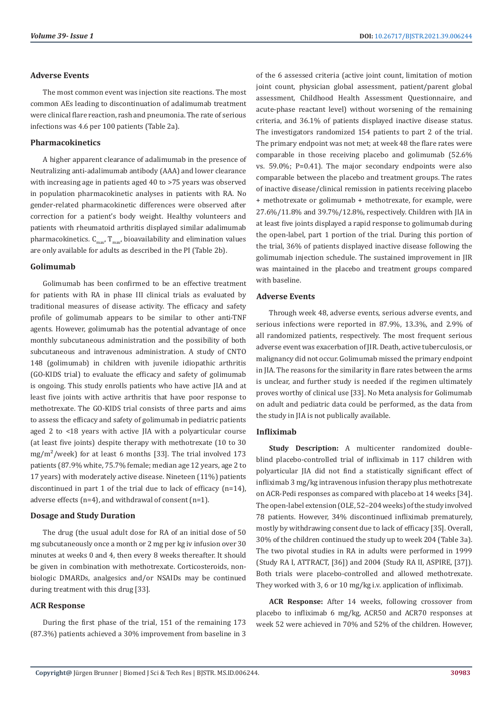#### **Adverse Events**

The most common event was injection site reactions. The most common AEs leading to discontinuation of adalimumab treatment were clinical flare reaction, rash and pneumonia. The rate of serious infections was 4.6 per 100 patients (Table 2a).

### **Pharmacokinetics**

A higher apparent clearance of adalimumab in the presence of Neutralizing anti-adalimumab antibody (AAA) and lower clearance with increasing age in patients aged 40 to >75 years was observed in population pharmacokinetic analyses in patients with RA. No gender-related pharmacokinetic differences were observed after correction for a patient's body weight. Healthy volunteers and patients with rheumatoid arthritis displayed similar adalimumab pharmacokinetics.  $C_{\text{max}}$ ,  $T_{\text{max}}$ , bioavailability and elimination values are only available for adults as described in the PI (Table 2b).

#### **Golimumab**

Golimumab has been confirmed to be an effective treatment for patients with RA in phase III clinical trials as evaluated by traditional measures of disease activity. The efficacy and safety profile of golimumab appears to be similar to other anti-TNF agents. However, golimumab has the potential advantage of once monthly subcutaneous administration and the possibility of both subcutaneous and intravenous administration. A study of CNTO 148 (golimumab) in children with juvenile idiopathic arthritis (GO-KIDS trial) to evaluate the efficacy and safety of golimumab is ongoing. This study enrolls patients who have active JIA and at least five joints with active arthritis that have poor response to methotrexate. The GO-KIDS trial consists of three parts and aims to assess the efficacy and safety of golimumab in pediatric patients aged 2 to <18 years with active JIA with a polyarticular course (at least five joints) despite therapy with methotrexate (10 to 30  $mg/m<sup>2</sup>/week$  for at least 6 months [33]. The trial involved 173 patients (87.9% white, 75.7% female; median age 12 years, age 2 to 17 years) with moderately active disease. Nineteen (11%) patients discontinued in part 1 of the trial due to lack of efficacy (n=14), adverse effects (n=4), and withdrawal of consent (n=1).

# **Dosage and Study Duration**

The drug (the usual adult dose for RA of an initial dose of 50 mg subcutaneously once a month or 2 mg per kg iv infusion over 30 minutes at weeks 0 and 4, then every 8 weeks thereafter. It should be given in combination with methotrexate. Corticosteroids, nonbiologic DMARDs, analgesics and/or NSAIDs may be continued during treatment with this drug [33].

#### **ACR Response**

During the first phase of the trial, 151 of the remaining 173 (87.3%) patients achieved a 30% improvement from baseline in 3

of the 6 assessed criteria (active joint count, limitation of motion joint count, physician global assessment, patient/parent global assessment, Childhood Health Assessment Questionnaire, and acute-phase reactant level) without worsening of the remaining criteria, and 36.1% of patients displayed inactive disease status. The investigators randomized 154 patients to part 2 of the trial. The primary endpoint was not met; at week 48 the flare rates were comparable in those receiving placebo and golimumab (52.6% vs. 59.0%; P=0.41). The major secondary endpoints were also comparable between the placebo and treatment groups. The rates of inactive disease/clinical remission in patients receiving placebo + methotrexate or golimumab + methotrexate, for example, were 27.6%/11.8% and 39.7%/12.8%, respectively. Children with JIA in at least five joints displayed a rapid response to golimumab during the open-label, part 1 portion of the trial. During this portion of the trial, 36% of patients displayed inactive disease following the golimumab injection schedule. The sustained improvement in JIR was maintained in the placebo and treatment groups compared with baseline.

#### **Adverse Events**

Through week 48, adverse events, serious adverse events, and serious infections were reported in 87.9%, 13.3%, and 2.9% of all randomized patients, respectively. The most frequent serious adverse event was exacerbation of JIR. Death, active tuberculosis, or malignancy did not occur. Golimumab missed the primary endpoint in JIA. The reasons for the similarity in flare rates between the arms is unclear, and further study is needed if the regimen ultimately proves worthy of clinical use [33]. No Meta analysis for Golimumab on adult and pediatric data could be performed, as the data from the study in JIA is not publically available.

# **Infliximab**

**Study Description:** A multicenter randomized doubleblind placebo-controlled trial of infliximab in 117 children with polyarticular JIA did not find a statistically significant effect of infliximab 3 mg/kg intravenous infusion therapy plus methotrexate on ACR-Pedi responses as compared with placebo at 14 weeks [34]. The open-label extension (OLE, 52–204 weeks) of the study involved 78 patients. However, 34% discontinued infliximab prematurely, mostly by withdrawing consent due to lack of efficacy [35]. Overall, 30% of the children continued the study up to week 204 (Table 3a). The two pivotal studies in RA in adults were performed in 1999 (Study RA I, ATTRACT, [36]) and 2004 (Study RA II, ASPIRE, [37]). Both trials were placebo-controlled and allowed methotrexate. They worked with 3, 6 or 10 mg/kg i.v. application of infliximab.

**ACR Response:** After 14 weeks, following crossover from placebo to infliximab 6 mg/kg, ACR50 and ACR70 responses at week 52 were achieved in 70% and 52% of the children. However,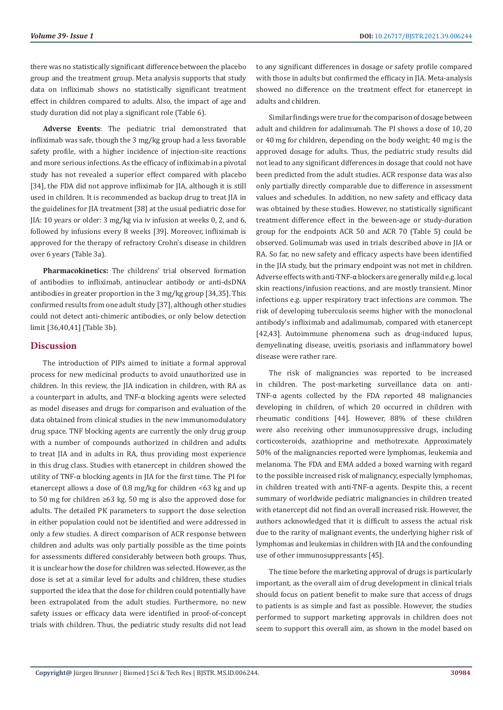there was no statistically significant difference between the placebo group and the treatment group. Meta analysis supports that study data on infliximab shows no statistically significant treatment effect in children compared to adults. Also, the impact of age and study duration did not play a significant role (Table 6).

**Adverse Events**: The pediatric trial demonstrated that infliximab was safe, though the 3 mg/kg group had a less favorable safety profile, with a higher incidence of injection-site reactions and more serious infections. As the efficacy of infliximab in a pivotal study has not revealed a superior effect compared with placebo [34], the FDA did not approve infliximab for JIA, although it is still used in children. It is recommended as backup drug to treat JIA in the guidelines for JIA treatment [38] at the usual pediatric dose for JIA: 10 years or older: 3 mg/kg via iv infusion at weeks 0, 2, and 6, followed by infusions every 8 weeks [39]. Moreover, infliximab is approved for the therapy of refractory Crohn's disease in children over 6 years (Table 3a).

**Pharmacokinetics:** The childrens' trial observed formation of antibodies to infliximab, antinuclear antibody or anti-dsDNA antibodies in greater proportion in the 3 mg/kg group [34,35]. This confirmed results from one adult study [37], although other studies could not detect anti-chimeric antibodies, or only below detection limit [36,40,41] (Table 3b).

# **Discussion**

The introduction of PIPs aimed to initiate a formal approval process for new medicinal products to avoid unauthorized use in children. In this review, the JIA indication in children, with RA as a counterpart in adults, and TNF-α blocking agents were selected as model diseases and drugs for comparison and evaluation of the data obtained from clinical studies in the new immunomodulatory drug space. TNF blocking agents are currently the only drug group with a number of compounds authorized in children and adults to treat JIA and in adults in RA, thus providing most experience in this drug class. Studies with etanercept in children showed the utility of TNF-α blocking agents in JIA for the first time. The PI for etanercept allows a dose of 0.8 mg/kg for children <63 kg and up to 50 mg for children ≥63 kg. 50 mg is also the approved dose for adults. The detailed PK parameters to support the dose selection in either population could not be identified and were addressed in only a few studies. A direct comparison of ACR response between children and adults was only partially possible as the time points for assessments differed considerably between both groups. Thus, it is unclear how the dose for children was selected. However, as the dose is set at a similar level for adults and children, these studies supported the idea that the dose for children could potentially have been extrapolated from the adult studies. Furthermore, no new safety issues or efficacy data were identified in proof-of-concept trials with children. Thus, the pediatric study results did not lead

to any significant differences in dosage or safety profile compared with those in adults but confirmed the efficacy in JIA. Meta-analysis showed no difference on the treatment effect for etanercept in adults and children.

Similar findings were true for the comparison of dosage between adult and children for adalimumab. The PI shows a dose of 10, 20 or 40 mg for children, depending on the body weight; 40 mg is the approved dosage for adults. Thus, the pediatric study results did not lead to any significant differences in dosage that could not have been predicted from the adult studies. ACR response data was also only partially directly comparable due to difference in assessment values and schedules. In addition, no new safety and efficacy data was obtained by these studies. However, no statistically significant treatment difference effect in the beween-age or study-duration group for the endpoints ACR 50 and ACR 70 (Table 5) could be observed. Golimumab was used in trials described above in JIA or RA. So far, no new safety and efficacy aspects have been identified in the JIA study, but the primary endpoint was not met in children. Adverse effects with anti-TNF-α blockers are generally mild e.g. local skin reactions/infusion reactions, and are mostly transient. Minor infections e.g. upper respiratory tract infections are common. The risk of developing tuberculosis seems higher with the monoclonal antibody's infliximab and adalimumab, compared with etanercept [42,43]. Autoimmune phenomena such as drug-induced lupus, demyelinating disease, uveitis, psoriasis and inflammatory bowel disease were rather rare.

The risk of malignancies was reported to be increased in children. The post-marketing surveillance data on anti-TNF-α agents collected by the FDA reported 48 malignancies developing in children, of which 20 occurred in children with rheumatic conditions [44]. However, 88% of these children were also receiving other immunosuppressive drugs, including corticosteroids, azathioprine and methotrexate. Approximately 50% of the malignancies reported were lymphomas, leukemia and melanoma. The FDA and EMA added a boxed warning with regard to the possible increased risk of malignancy, especially lymphomas, in children treated with anti-TNF-α agents. Despite this, a recent summary of worldwide pediatric malignancies in children treated with etanercept did not find an overall increased risk. However, the authors acknowledged that it is difficult to assess the actual risk due to the rarity of malignant events, the underlying higher risk of lymphomas and leukemias in children with JIA and the confounding use of other immunosuppressants [45].

The time before the marketing approval of drugs is particularly important, as the overall aim of drug development in clinical trials should focus on patient benefit to make sure that access of drugs to patients is as simple and fast as possible. However, the studies performed to support marketing approvals in children does not seem to support this overall aim, as shown in the model based on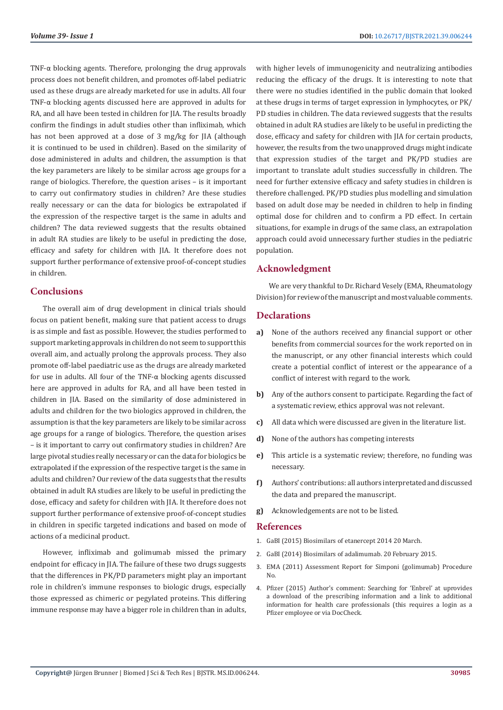TNF-α blocking agents. Therefore, prolonging the drug approvals process does not benefit children, and promotes off-label pediatric used as these drugs are already marketed for use in adults. All four TNF-α blocking agents discussed here are approved in adults for RA, and all have been tested in children for JIA. The results broadly confirm the findings in adult studies other than infliximab, which has not been approved at a dose of 3 mg/kg for JIA (although it is continued to be used in children). Based on the similarity of dose administered in adults and children, the assumption is that the key parameters are likely to be similar across age groups for a range of biologics. Therefore, the question arises – is it important to carry out confirmatory studies in children? Are these studies really necessary or can the data for biologics be extrapolated if the expression of the respective target is the same in adults and children? The data reviewed suggests that the results obtained in adult RA studies are likely to be useful in predicting the dose, efficacy and safety for children with JIA. It therefore does not support further performance of extensive proof-of-concept studies in children.

# **Conclusions**

The overall aim of drug development in clinical trials should focus on patient benefit, making sure that patient access to drugs is as simple and fast as possible. However, the studies performed to support marketing approvals in children do not seem to support this overall aim, and actually prolong the approvals process. They also promote off-label paediatric use as the drugs are already marketed for use in adults. All four of the TNF-α blocking agents discussed here are approved in adults for RA, and all have been tested in children in JIA. Based on the similarity of dose administered in adults and children for the two biologics approved in children, the assumption is that the key parameters are likely to be similar across age groups for a range of biologics. Therefore, the question arises – is it important to carry out confirmatory studies in children? Are large pivotal studies really necessary or can the data for biologics be extrapolated if the expression of the respective target is the same in adults and children? Our review of the data suggests that the results obtained in adult RA studies are likely to be useful in predicting the dose, efficacy and safety for children with JIA. It therefore does not support further performance of extensive proof-of-concept studies in children in specific targeted indications and based on mode of actions of a medicinal product.

However, infliximab and golimumab missed the primary endpoint for efficacy in JIA. The failure of these two drugs suggests that the differences in PK/PD parameters might play an important role in children's immune responses to biologic drugs, especially those expressed as chimeric or pegylated proteins. This differing immune response may have a bigger role in children than in adults,

with higher levels of immunogenicity and neutralizing antibodies reducing the efficacy of the drugs. It is interesting to note that there were no studies identified in the public domain that looked at these drugs in terms of target expression in lymphocytes, or PK/ PD studies in children. The data reviewed suggests that the results obtained in adult RA studies are likely to be useful in predicting the dose, efficacy and safety for children with JIA for certain products, however, the results from the two unapproved drugs might indicate that expression studies of the target and PK/PD studies are important to translate adult studies successfully in children. The need for further extensive efficacy and safety studies in children is therefore challenged. PK/PD studies plus modelling and simulation based on adult dose may be needed in children to help in finding optimal dose for children and to confirm a PD effect. In certain situations, for example in drugs of the same class, an extrapolation approach could avoid unnecessary further studies in the pediatric population.

# **Acknowledgment**

We are very thankful to Dr. Richard Vesely (EMA, Rheumatology Division) for review of the manuscript and most valuable comments.

# **Declarations**

- **a)** None of the authors received any financial support or other benefits from commercial sources for the work reported on in the manuscript, or any other financial interests which could create a potential conflict of interest or the appearance of a conflict of interest with regard to the work.
- **b)** Any of the authors consent to participate. Regarding the fact of a systematic review, ethics approval was not relevant.
- **c)** All data which were discussed are given in the literature list.
- **d)** None of the authors has competing interests
- **e)** This article is a systematic review; therefore, no funding was necessary.
- **f)** Authors' contributions: all authors interpretated and discussed the data and prepared the manuscript.
- **g)** Acknowledgements are not to be listed.

# **References**

- 1. [GaBI \(2015\) Biosimilars of etanercept 2014 20 March.](https://www.gabionline.net/biosimilars/general/Biosimilars-of-etanercept)
- 2. GaBI (2014) Biosimilars of adalimumab. 20 February 2015.
- 3. [EMA \(2011\) Assessment Report for Simponi \(golimumab\) Procedure](https://www.gabionline.net/biosimilars/general/Biosimilars-of-adalimumab) [No.](https://www.gabionline.net/biosimilars/general/Biosimilars-of-adalimumab)
- 4. [Pfizer \(2015\) Author's comment: Searching for 'Enbrel' at uprovides](https://www.pfizer.com/) [a download of the prescribing information and a link to additional](https://www.pfizer.com/) [information for health care professionals \(this requires a login as a](https://www.pfizer.com/) [Pfizer employee or via DocCheck.](https://www.pfizer.com/)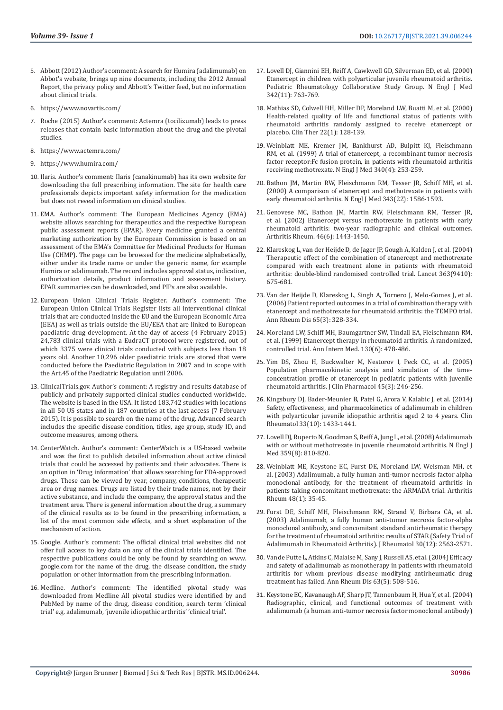- 5. [Abbott \(2012\) Author's comment: A search for Humira \(adalimumab\) on](https://www.abbott.com/)  [Abbot's website, brings up nine documents, including the 2012 Annual](https://www.abbott.com/)  [Report, the privacy policy and Abbott's Twitter feed, but no information](https://www.abbott.com/)  [about clinical trials.](https://www.abbott.com/)
- 6. <https://www.novartis.com/>
- 7. [Roche \(2015\) Author's comment: Actemra \(tocilizumab\) leads to press](https://www.roche.com/)  [releases that contain basic information about the drug and the pivotal](https://www.roche.com/)  [studies.](https://www.roche.com/)
- 8. <https://www.actemra.com/>
- 9. <https://www.humira.com/>
- 10. [Ilaris. Author's comment: Ilaris \(canakinumab\) has its own website for](https://www.ilaris.com/info/aosd-treatment.jsp?usertrack.filter_applied=true&NovaId=3831503021646844111)  [downloading the full prescribing information. The site for health care](https://www.ilaris.com/info/aosd-treatment.jsp?usertrack.filter_applied=true&NovaId=3831503021646844111)  [professionals depicts important safety information for the medication](https://www.ilaris.com/info/aosd-treatment.jsp?usertrack.filter_applied=true&NovaId=3831503021646844111)  [but does not reveal information on clinical studies.](https://www.ilaris.com/info/aosd-treatment.jsp?usertrack.filter_applied=true&NovaId=3831503021646844111)
- 11. [EMA. Author's comment: The European Medicines Agency \(EMA\)](https://www.ema.europa.eu/en)  [website allows searching for therapeutics and the respective European](https://www.ema.europa.eu/en)  [public assessment reports \(EPAR\). Every medicine granted a central](https://www.ema.europa.eu/en)  [marketing authorization by the European Commission is based on an](https://www.ema.europa.eu/en)  [assessment of the EMA's Committee for Medicinal Products for Human](https://www.ema.europa.eu/en)  [Use \(CHMP\). The page can be browsed for the medicine alphabetically,](https://www.ema.europa.eu/en)  [either under its trade name or under the generic name, for example](https://www.ema.europa.eu/en)  [Humira or adalimumab. The record includes approval status, indication,](https://www.ema.europa.eu/en)  [authorization details, product information and assessment history.](https://www.ema.europa.eu/en)  [EPAR summaries can be downloaded, and PIPs are also available.](https://www.ema.europa.eu/en)
- 12. [European Union Clinical Trials Register. Author's comment: The](http://www.clinicaltrialsregister.eu/)  [European Union Clinical Trials Register lists all interventional clinical](http://www.clinicaltrialsregister.eu/)  [trials that are conducted inside the EU and the European Economic Area](http://www.clinicaltrialsregister.eu/)  [\(EEA\) as well as trials outside the EU/EEA that are linked to European](http://www.clinicaltrialsregister.eu/)  [paediatric drug development. At the day of access \(4 February 2015\)](http://www.clinicaltrialsregister.eu/)  [24,783 clinical trials with a EudraCT protocol were registered, out of](http://www.clinicaltrialsregister.eu/)  [which 3375 were clinical trials conducted with subjects less than 18](http://www.clinicaltrialsregister.eu/)  [years old. Another 10,296 older paediatric trials are stored that were](http://www.clinicaltrialsregister.eu/)  [conducted before the Paediatric Regulation in 2007 and in scope with](http://www.clinicaltrialsregister.eu/)  [the Art.45 of the Paediatric Regulation until 2006.](http://www.clinicaltrialsregister.eu/)
- 13. [ClinicalTrials.gov. Author's comment: A registry and results database of](https://www.clinicaltrials.gov/)  [publicly and privately supported clinical studies conducted worldwide.](https://www.clinicaltrials.gov/)  [The website is based in the USA. It listed 183,742 studies with locations](https://www.clinicaltrials.gov/)  [in all 50 US states and in 187 countries at the last access \(7 February](https://www.clinicaltrials.gov/)  [2015\). It is possible to search on the name of the drug. Advanced search](https://www.clinicaltrials.gov/)  [includes the specific disease condition, titles, age group, study ID, and](https://www.clinicaltrials.gov/)  [outcome measures, among others.](https://www.clinicaltrials.gov/)
- 14. [CenterWatch. Author's comment: CenterWatch is a US-based website](https://www.centerwatch.com/)  [and was the first to publish detailed information about active clinical](https://www.centerwatch.com/)  [trials that could be accessed by patients and their advocates. There is](https://www.centerwatch.com/)  [an option in 'Drug information' that allows searching for FDA-approved](https://www.centerwatch.com/)  [drugs. These can be viewed by year, company, conditions, therapeutic](https://www.centerwatch.com/)  [area or drug names. Drugs are listed by their trade names, not by their](https://www.centerwatch.com/)  [active substance, and include the company, the approval status and the](https://www.centerwatch.com/)  [treatment area. There is general information about the drug, a summary](https://www.centerwatch.com/)  [of the clinical results as to be found in the prescribing information, a](https://www.centerwatch.com/)  [list of the most common side effects, and a short explanation of the](https://www.centerwatch.com/)  [mechanism of action.](https://www.centerwatch.com/)
- 15. Google. Author's comment: The official clinical trial websites did not offer full access to key data on any of the clinical trials identified. The respective publications could be only be found by searching on www. google.com for the name of the drug, the disease condition, the study population or other information from the prescribing information.
- 16. [Medline. Author's comment: The identified pivotal study was](https://pubmed.ncbi.nlm.nih.gov/6877565/)  [downloaded from Medline All pivotal studies were identified by and](https://pubmed.ncbi.nlm.nih.gov/6877565/)  [PubMed by name of the drug, disease condition, search term 'clinical](https://pubmed.ncbi.nlm.nih.gov/6877565/)  [trial' e.g. adalimumab, 'juvenile idiopathic arthritis' 'clinical trial'.](https://pubmed.ncbi.nlm.nih.gov/6877565/)
- 17. [Lovell DJ, Giannini EH, Reiff A, Cawkwell GD, Silverman ED, et al. \(2000\)](https://pubmed.ncbi.nlm.nih.gov/10717011/) [Etanercept in children with polyarticular juvenile rheumatoid arthritis.](https://pubmed.ncbi.nlm.nih.gov/10717011/) [Pediatric Rheumatology Collaborative Study Group. N Engl J Med](https://pubmed.ncbi.nlm.nih.gov/10717011/) [342\(11\): 763-769.](https://pubmed.ncbi.nlm.nih.gov/10717011/)
- 18. [Mathias SD, Colwell HH, Miller DP, Moreland LW, Buatti M, et al. \(2000\)](https://pubmed.ncbi.nlm.nih.gov/10688396/) [Health-related quality of life and functional status of patients with](https://pubmed.ncbi.nlm.nih.gov/10688396/) [rheumatoid arthritis randomly assigned to receive etanercept or](https://pubmed.ncbi.nlm.nih.gov/10688396/) [placebo. Clin Ther 22\(1\): 128-139.](https://pubmed.ncbi.nlm.nih.gov/10688396/)
- 19. [Weinblatt ME, Kremer JM, Bankhurst AD, Bulpitt KJ, Fleischmann](https://pubmed.ncbi.nlm.nih.gov/9920948/) [RM, et al. \(1999\) A trial of etanercept, a recombinant tumor necrosis](https://pubmed.ncbi.nlm.nih.gov/9920948/) [factor receptor:Fc fusion protein, in patients with rheumatoid arthritis](https://pubmed.ncbi.nlm.nih.gov/9920948/) [receiving methotrexate. N Engl J Med 340\(4\): 253-259.](https://pubmed.ncbi.nlm.nih.gov/9920948/)
- 20. [Bathon JM, Martin RW, Fleischmann RM, Tesser JR, Schiff MH, et al.](https://pubmed.ncbi.nlm.nih.gov/11096165/) [\(2000\) A comparison of etanercept and methotrexate in patients with](https://pubmed.ncbi.nlm.nih.gov/11096165/) [early rheumatoid arthritis. N Engl J Med 343\(22\): 1586-1593.](https://pubmed.ncbi.nlm.nih.gov/11096165/)
- 21. [Genovese MC, Bathon JM, Martin RW, Fleischmann RM, Tesser JR,](https://pubmed.ncbi.nlm.nih.gov/12115173/) [et al. \(2002\) Etanercept versus methotrexate in patients with early](https://pubmed.ncbi.nlm.nih.gov/12115173/) [rheumatoid arthritis: two-year radiographic and clinical outcomes.](https://pubmed.ncbi.nlm.nih.gov/12115173/) [Arthritis Rheum. 46\(6\): 1443-1450.](https://pubmed.ncbi.nlm.nih.gov/12115173/)
- 22. [Klareskog L, van der Heijde D, de Jager JP, Gough A, Kalden J, et al. \(2004\)](https://www.researchgate.net/publication/8415951_Therapeutic_effect_of_the_combination_of_etanercept_and_methotrexate_compared_with_each_treatment_alone_in_patients_with_rheumatoid_arthritis_Double-blind_randomised_controlled_trial) [Therapeutic effect of the combination of etanercept and methotrexate](https://www.researchgate.net/publication/8415951_Therapeutic_effect_of_the_combination_of_etanercept_and_methotrexate_compared_with_each_treatment_alone_in_patients_with_rheumatoid_arthritis_Double-blind_randomised_controlled_trial) [compared with each treatment alone in patients with rheumatoid](https://www.researchgate.net/publication/8415951_Therapeutic_effect_of_the_combination_of_etanercept_and_methotrexate_compared_with_each_treatment_alone_in_patients_with_rheumatoid_arthritis_Double-blind_randomised_controlled_trial) [arthritis: double-blind randomised controlled trial. Lancet 363\(9410\):](https://www.researchgate.net/publication/8415951_Therapeutic_effect_of_the_combination_of_etanercept_and_methotrexate_compared_with_each_treatment_alone_in_patients_with_rheumatoid_arthritis_Double-blind_randomised_controlled_trial) [675-681.](https://www.researchgate.net/publication/8415951_Therapeutic_effect_of_the_combination_of_etanercept_and_methotrexate_compared_with_each_treatment_alone_in_patients_with_rheumatoid_arthritis_Double-blind_randomised_controlled_trial)
- 23. [Van der Heijde D, Klareskog L, Singh A, Tornero J, Melo-Gomes J, et al.](https://pubmed.ncbi.nlm.nih.gov/16079172/) [\(2006\) Patient reported outcomes in a trial of combination therapy with](https://pubmed.ncbi.nlm.nih.gov/16079172/) [etanercept and methotrexate for rheumatoid arthritis: the TEMPO trial.](https://pubmed.ncbi.nlm.nih.gov/16079172/) [Ann Rheum Dis 65\(3\): 328-334.](https://pubmed.ncbi.nlm.nih.gov/16079172/)
- 24. [Moreland LW, Schiff MH, Baumgartner SW, Tindall EA, Fleischmann RM,](https://pubmed.ncbi.nlm.nih.gov/10075615/) [et al. \(1999\) Etanercept therapy in rheumatoid arthritis. A randomized,](https://pubmed.ncbi.nlm.nih.gov/10075615/) [controlled trial. Ann Intern Med. 130\(6\): 478-486.](https://pubmed.ncbi.nlm.nih.gov/10075615/)
- 25. [Yim DS, Zhou H, Buckwalter M, Nestorov I, Peck CC, et al. \(2005\)](https://pubmed.ncbi.nlm.nih.gov/15703360/) [Population pharmacokinetic analysis and simulation of the time](https://pubmed.ncbi.nlm.nih.gov/15703360/)[concentration profile of etanercept in pediatric patients with juvenile](https://pubmed.ncbi.nlm.nih.gov/15703360/) [rheumatoid arthritis. J Clin Pharmacol 45\(3\): 246-256.](https://pubmed.ncbi.nlm.nih.gov/15703360/)
- 26. [Kingsbury DJ, Bader-Meunier B, Patel G, Arora V, Kalabic J, et al. \(2014\)](https://pubmed.ncbi.nlm.nih.gov/24487484/) [Safety, effectiveness, and pharmacokinetics of adalimumab in children](https://pubmed.ncbi.nlm.nih.gov/24487484/) [with polyarticular juvenile idiopathic arthritis aged 2 to 4 years. Clin](https://pubmed.ncbi.nlm.nih.gov/24487484/) [Rheumatol 33\(10\): 1433-1441.](https://pubmed.ncbi.nlm.nih.gov/24487484/)
- 27. [Lovell DJ, Ruperto N, Goodman S, Reiff A, Jung L, et al. \(2008\) Adalimumab](https://www.nejm.org/doi/full/10.1056/nejmoa0706290) [with or without methotrexate in juvenile rheumatoid arthritis. N Engl J](https://www.nejm.org/doi/full/10.1056/nejmoa0706290) [Med 359\(8\): 810-820.](https://www.nejm.org/doi/full/10.1056/nejmoa0706290)
- 28. [Weinblatt ME, Keystone EC, Furst DE, Moreland LW, Weisman MH, et](https://pubmed.ncbi.nlm.nih.gov/12528101/) [al. \(2003\) Adalimumab, a fully human anti-tumor necrosis factor alpha](https://pubmed.ncbi.nlm.nih.gov/12528101/) [monoclonal antibody, for the treatment of rheumatoid arthritis in](https://pubmed.ncbi.nlm.nih.gov/12528101/) [patients taking concomitant methotrexate: the ARMADA trial. Arthritis](https://pubmed.ncbi.nlm.nih.gov/12528101/) [Rheum 48\(1\): 35-45.](https://pubmed.ncbi.nlm.nih.gov/12528101/)
- 29. Furst DE, Schiff MH, Fleischmann RM, Strand V, Birbara CA, et al. (2003) Adalimumab, a fully human anti-tumor necrosis factor-alpha monoclonal antibody, and concomitant standard antirheumatic therapy for the treatment of rheumatoid arthritis: results of STAR (Safety Trial of Adalimumab in Rheumatoid Arthritis). J Rheumatol 30(12): 2563-2571.
- 30. [Van de Putte L, Atkins C, Malaise M, Sany J, Russell AS, et al. \(2004\) Efficacy](https://pubmed.ncbi.nlm.nih.gov/15082480/) [and safety of adalimumab as monotherapy in patients with rheumatoid](https://pubmed.ncbi.nlm.nih.gov/15082480/) [arthritis for whom previous disease modifying antirheumatic drug](https://pubmed.ncbi.nlm.nih.gov/15082480/) [treatment has failed. Ann Rheum Dis 63\(5\): 508-516.](https://pubmed.ncbi.nlm.nih.gov/15082480/)
- 31. [Keystone EC, Kavanaugh AF, Sharp JT, Tannenbaum H, Hua Y, et al. \(2004\)](https://pubmed.ncbi.nlm.nih.gov/15146409/) [Radiographic, clinical, and functional outcomes of treatment with](https://pubmed.ncbi.nlm.nih.gov/15146409/) [adalimumab \(a human anti-tumor necrosis factor monoclonal antibody\)](https://pubmed.ncbi.nlm.nih.gov/15146409/)